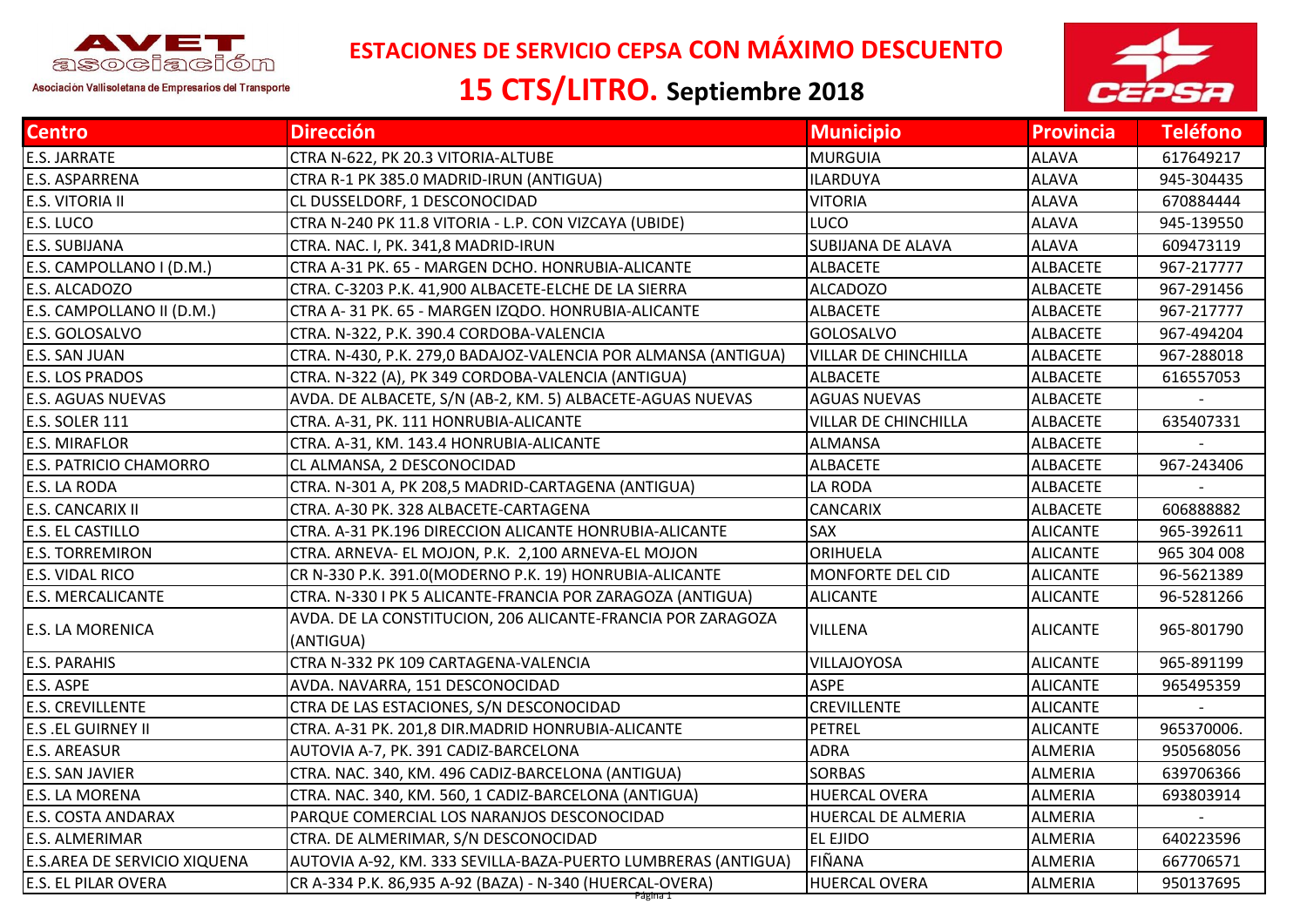

 **ESTACIONES DE SERVICIO CEPSA CON MÁXIMO DESCUENTO**

## **15 CTS/LITRO. Septiembre 2018**



| <b>Centro</b>                       | <b>Dirección</b>                                                         | <b>Municipio</b>            | <b>Provincia</b> | <b>Teléfono</b> |
|-------------------------------------|--------------------------------------------------------------------------|-----------------------------|------------------|-----------------|
| <b>E.S. JARRATE</b>                 | CTRA N-622, PK 20.3 VITORIA-ALTUBE                                       | <b>MURGUIA</b>              | <b>ALAVA</b>     | 617649217       |
| E.S. ASPARRENA                      | CTRA R-1 PK 385.0 MADRID-IRUN (ANTIGUA)                                  | <b>ILARDUYA</b>             | <b>ALAVA</b>     | 945-304435      |
| E.S. VITORIA II                     | CL DUSSELDORF, 1 DESCONOCIDAD                                            | <b>VITORIA</b>              | <b>ALAVA</b>     | 670884444       |
| E.S. LUCO                           | CTRA N-240 PK 11.8 VITORIA - L.P. CON VIZCAYA (UBIDE)                    | LUCO                        | <b>ALAVA</b>     | 945-139550      |
| <b>E.S. SUBIJANA</b>                | CTRA. NAC. I, PK. 341,8 MADRID-IRUN                                      | <b>SUBIJANA DE ALAVA</b>    | <b>ALAVA</b>     | 609473119       |
| E.S. CAMPOLLANO I (D.M.)            | CTRA A-31 PK. 65 - MARGEN DCHO. HONRUBIA-ALICANTE                        | <b>ALBACETE</b>             | <b>ALBACETE</b>  | 967-217777      |
| E.S. ALCADOZO                       | CTRA. C-3203 P.K. 41,900 ALBACETE-ELCHE DE LA SIERRA                     | <b>ALCADOZO</b>             | <b>ALBACETE</b>  | 967-291456      |
| E.S. CAMPOLLANO II (D.M.)           | CTRA A-31 PK. 65 - MARGEN IZQDO. HONRUBIA-ALICANTE                       | <b>ALBACETE</b>             | <b>ALBACETE</b>  | 967-217777      |
| E.S. GOLOSALVO                      | CTRA. N-322, P.K. 390.4 CORDOBA-VALENCIA                                 | <b>GOLOSALVO</b>            | <b>ALBACETE</b>  | 967-494204      |
| E.S. SAN JUAN                       | CTRA. N-430, P.K. 279,0 BADAJOZ-VALENCIA POR ALMANSA (ANTIGUA)           | VILLAR DE CHINCHILLA        | <b>ALBACETE</b>  | 967-288018      |
| <b>E.S. LOS PRADOS</b>              | CTRA. N-322 (A), PK 349 CORDOBA-VALENCIA (ANTIGUA)                       | <b>ALBACETE</b>             | <b>ALBACETE</b>  | 616557053       |
| <b>E.S. AGUAS NUEVAS</b>            | AVDA. DE ALBACETE, S/N (AB-2, KM. 5) ALBACETE-AGUAS NUEVAS               | <b>AGUAS NUEVAS</b>         | <b>ALBACETE</b>  |                 |
| E.S. SOLER 111                      | CTRA. A-31, PK. 111 HONRUBIA-ALICANTE                                    | <b>VILLAR DE CHINCHILLA</b> | <b>ALBACETE</b>  | 635407331       |
| <b>E.S. MIRAFLOR</b>                | CTRA. A-31, KM. 143.4 HONRUBIA-ALICANTE                                  | <b>ALMANSA</b>              | <b>ALBACETE</b>  |                 |
| <b>E.S. PATRICIO CHAMORRO</b>       | CL ALMANSA, 2 DESCONOCIDAD                                               | <b>ALBACETE</b>             | <b>ALBACETE</b>  | 967-243406      |
| E.S. LA RODA                        | CTRA. N-301 A, PK 208,5 MADRID-CARTAGENA (ANTIGUA)                       | LA RODA                     | <b>ALBACETE</b>  |                 |
| <b>E.S. CANCARIX II</b>             | CTRA. A-30 PK. 328 ALBACETE-CARTAGENA                                    | <b>CANCARIX</b>             | <b>ALBACETE</b>  | 606888882       |
| <b>E.S. EL CASTILLO</b>             | CTRA. A-31 PK.196 DIRECCION ALICANTE HONRUBIA-ALICANTE                   | SAX                         | <b>ALICANTE</b>  | 965-392611      |
| <b>E.S. TORREMIRON</b>              | CTRA. ARNEVA- EL MOJON, P.K. 2,100 ARNEVA-EL MOJON                       | ORIHUELA                    | <b>ALICANTE</b>  | 965 304 008     |
| E.S. VIDAL RICO                     | CR N-330 P.K. 391.0(MODERNO P.K. 19) HONRUBIA-ALICANTE                   | MONFORTE DEL CID            | <b>ALICANTE</b>  | 96-5621389      |
| E.S. MERCALICANTE                   | CTRA. N-330 I PK 5 ALICANTE-FRANCIA POR ZARAGOZA (ANTIGUA)               | <b>ALICANTE</b>             | <b>ALICANTE</b>  | 96-5281266      |
| E.S. LA MORENICA                    | AVDA. DE LA CONSTITUCION, 206 ALICANTE-FRANCIA POR ZARAGOZA<br>(ANTIGUA) | <b>VILLENA</b>              | <b>ALICANTE</b>  | 965-801790      |
| <b>E.S. PARAHIS</b>                 | CTRA N-332 PK 109 CARTAGENA-VALENCIA                                     | VILLAJOYOSA                 | <b>ALICANTE</b>  | 965-891199      |
| E.S. ASPE                           | AVDA. NAVARRA, 151 DESCONOCIDAD                                          | <b>ASPE</b>                 | <b>ALICANTE</b>  | 965495359       |
| <b>E.S. CREVILLENTE</b>             | CTRA DE LAS ESTACIONES, S/N DESCONOCIDAD                                 | <b>CREVILLENTE</b>          | <b>ALICANTE</b>  |                 |
| <b>E.S .EL GUIRNEY II</b>           | CTRA. A-31 PK. 201,8 DIR.MADRID HONRUBIA-ALICANTE                        | <b>PETREL</b>               | <b>ALICANTE</b>  | 965370006.      |
| <b>E.S. AREASUR</b>                 | AUTOVIA A-7, PK. 391 CADIZ-BARCELONA                                     | <b>ADRA</b>                 | <b>ALMERIA</b>   | 950568056       |
| E.S. SAN JAVIER                     | CTRA. NAC. 340, KM. 496 CADIZ-BARCELONA (ANTIGUA)                        | <b>SORBAS</b>               | <b>ALMERIA</b>   | 639706366       |
| E.S. LA MORENA                      | CTRA. NAC. 340, KM. 560, 1 CADIZ-BARCELONA (ANTIGUA)                     | <b>HUERCAL OVERA</b>        | ALMERIA          | 693803914       |
| <b>E.S. COSTA ANDARAX</b>           | PARQUE COMERCIAL LOS NARANJOS DESCONOCIDAD                               | HUERCAL DE ALMERIA          | <b>ALMERIA</b>   |                 |
| E.S. ALMERIMAR                      | CTRA. DE ALMERIMAR, S/N DESCONOCIDAD                                     | EL EJIDO                    | <b>ALMERIA</b>   | 640223596       |
| <b>E.S.AREA DE SERVICIO XIQUENA</b> | AUTOVIA A-92, KM. 333 SEVILLA-BAZA-PUERTO LUMBRERAS (ANTIGUA)            | FIÑANA                      | <b>ALMERIA</b>   | 667706571       |
| <b>E.S. EL PILAR OVERA</b>          | CR A-334 P.K. 86,935 A-92 (BAZA) - N-340 (HUERCAL-OVERA)                 | <b>HUERCAL OVERA</b>        | <b>ALMERIA</b>   | 950137695       |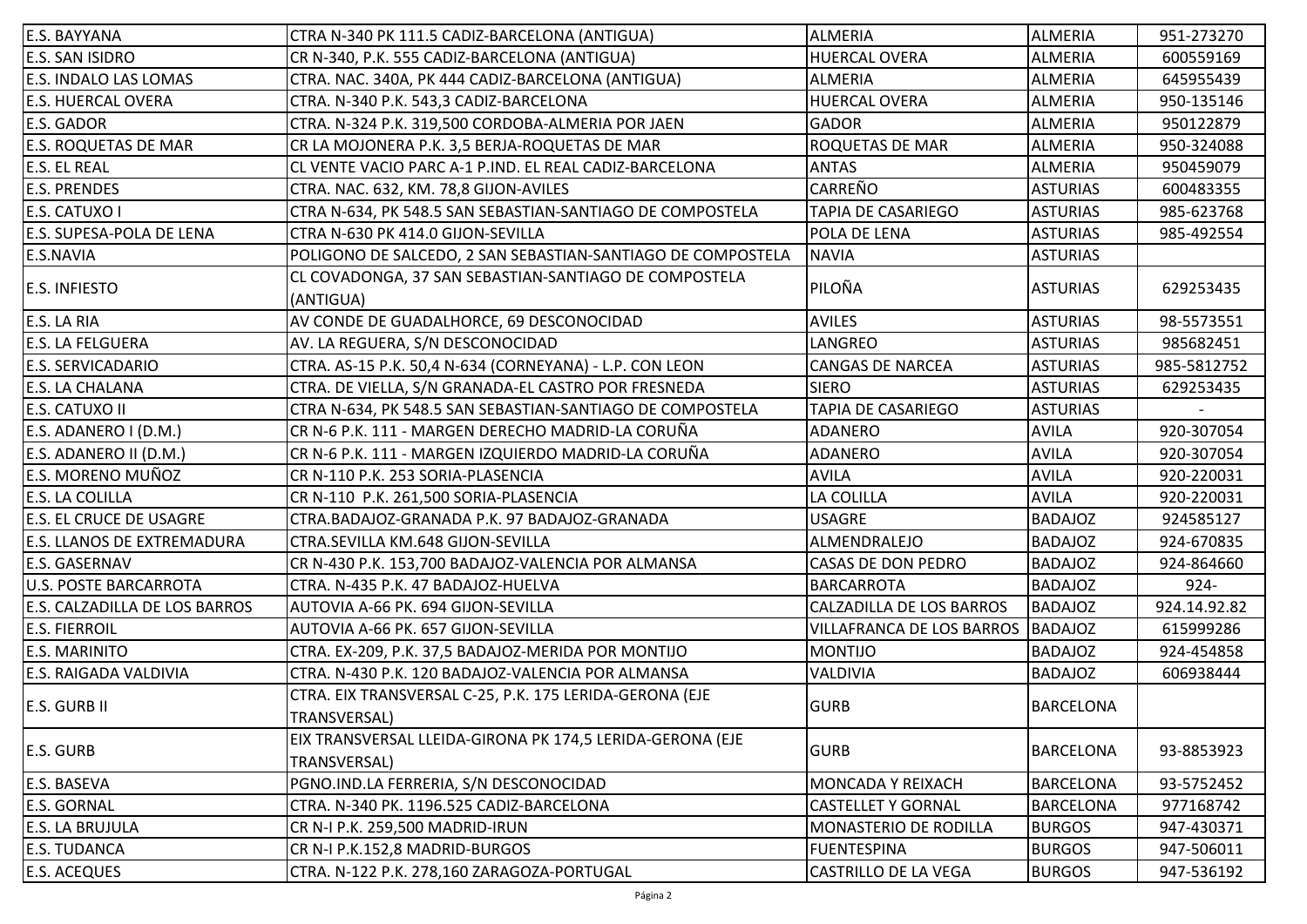| E.S. BAYYANA                      | CTRA N-340 PK 111.5 CADIZ-BARCELONA (ANTIGUA)                      | <b>ALMERIA</b>                    | <b>ALMERIA</b>   | 951-273270   |
|-----------------------------------|--------------------------------------------------------------------|-----------------------------------|------------------|--------------|
| <b>E.S. SAN ISIDRO</b>            | CR N-340, P.K. 555 CADIZ-BARCELONA (ANTIGUA)                       | <b>HUERCAL OVERA</b>              | ALMERIA          | 600559169    |
| <b>E.S. INDALO LAS LOMAS</b>      | CTRA. NAC. 340A, PK 444 CADIZ-BARCELONA (ANTIGUA)                  | <b>ALMERIA</b>                    | ALMERIA          | 645955439    |
| <b>E.S. HUERCAL OVERA</b>         | CTRA. N-340 P.K. 543,3 CADIZ-BARCELONA                             | <b>HUERCAL OVERA</b>              | <b>ALMERIA</b>   | 950-135146   |
| <b>E.S. GADOR</b>                 | CTRA. N-324 P.K. 319,500 CORDOBA-ALMERIA POR JAEN                  | <b>GADOR</b>                      | <b>ALMERIA</b>   | 950122879    |
| <b>E.S. ROQUETAS DE MAR</b>       | CR LA MOJONERA P.K. 3,5 BERJA-ROQUETAS DE MAR                      | <b>ROQUETAS DE MAR</b>            | ALMERIA          | 950-324088   |
| <b>E.S. EL REAL</b>               | CL VENTE VACIO PARC A-1 P.IND. EL REAL CADIZ-BARCELONA             | <b>ANTAS</b>                      | <b>ALMERIA</b>   | 950459079    |
| <b>E.S. PRENDES</b>               | CTRA. NAC. 632, KM. 78,8 GIJON-AVILES                              | CARREÑO                           | <b>ASTURIAS</b>  | 600483355    |
| E.S. CATUXO I                     | CTRA N-634, PK 548.5 SAN SEBASTIAN-SANTIAGO DE COMPOSTELA          | TAPIA DE CASARIEGO                | <b>ASTURIAS</b>  | 985-623768   |
| <b>E.S. SUPESA-POLA DE LENA</b>   | CTRA N-630 PK 414.0 GIJON-SEVILLA                                  | POLA DE LENA                      | <b>ASTURIAS</b>  | 985-492554   |
| E.S.NAVIA                         | POLIGONO DE SALCEDO, 2 SAN SEBASTIAN-SANTIAGO DE COMPOSTELA        | <b>NAVIA</b>                      | <b>ASTURIAS</b>  |              |
| <b>E.S. INFIESTO</b>              | CL COVADONGA, 37 SAN SEBASTIAN-SANTIAGO DE COMPOSTELA<br>(ANTIGUA) | PILOÑA                            | <b>ASTURIAS</b>  | 629253435    |
| E.S. LA RIA                       | AV CONDE DE GUADALHORCE, 69 DESCONOCIDAD                           | <b>AVILES</b>                     | <b>ASTURIAS</b>  | 98-5573551   |
| <b>E.S. LA FELGUERA</b>           | AV. LA REGUERA, S/N DESCONOCIDAD                                   | LANGREO                           | <b>ASTURIAS</b>  | 985682451    |
| <b>E.S. SERVICADARIO</b>          | CTRA. AS-15 P.K. 50,4 N-634 (CORNEYANA) - L.P. CON LEON            | <b>CANGAS DE NARCEA</b>           | <b>ASTURIAS</b>  | 985-5812752  |
| <b>E.S. LA CHALANA</b>            | CTRA. DE VIELLA, S/N GRANADA-EL CASTRO POR FRESNEDA                | <b>SIERO</b>                      | <b>ASTURIAS</b>  | 629253435    |
| E.S. CATUXO II                    | CTRA N-634, PK 548.5 SAN SEBASTIAN-SANTIAGO DE COMPOSTELA          | TAPIA DE CASARIEGO                | <b>ASTURIAS</b>  |              |
| E.S. ADANERO I (D.M.)             | CR N-6 P.K. 111 - MARGEN DERECHO MADRID-LA CORUÑA                  | <b>ADANERO</b>                    | <b>AVILA</b>     | 920-307054   |
| E.S. ADANERO II (D.M.)            | CR N-6 P.K. 111 - MARGEN IZQUIERDO MADRID-LA CORUÑA                | ADANERO                           | <b>AVILA</b>     | 920-307054   |
| <b>E.S. MORENO MUÑOZ</b>          | CR N-110 P.K. 253 SORIA-PLASENCIA                                  | <b>AVILA</b>                      | <b>AVILA</b>     | 920-220031   |
| <b>E.S. LA COLILLA</b>            | CR N-110 P.K. 261,500 SORIA-PLASENCIA                              | LA COLILLA                        | <b>AVILA</b>     | 920-220031   |
| <b>E.S. EL CRUCE DE USAGRE</b>    | CTRA.BADAJOZ-GRANADA P.K. 97 BADAJOZ-GRANADA                       | <b>USAGRE</b>                     | <b>BADAJOZ</b>   | 924585127    |
| <b>E.S. LLANOS DE EXTREMADURA</b> | CTRA.SEVILLA KM.648 GIJON-SEVILLA                                  | ALMENDRALEJO                      | <b>BADAJOZ</b>   | 924-670835   |
| <b>E.S. GASERNAV</b>              | CR N-430 P.K. 153,700 BADAJOZ-VALENCIA POR ALMANSA                 | <b>CASAS DE DON PEDRO</b>         | <b>BADAJOZ</b>   | 924-864660   |
| <b>U.S. POSTE BARCARROTA</b>      | CTRA. N-435 P.K. 47 BADAJOZ-HUELVA                                 | <b>BARCARROTA</b>                 | <b>BADAJOZ</b>   | $924 -$      |
| E.S. CALZADILLA DE LOS BARROS     | AUTOVIA A-66 PK. 694 GIJON-SEVILLA                                 | CALZADILLA DE LOS BARROS          | <b>BADAJOZ</b>   | 924.14.92.82 |
| <b>E.S. FIERROIL</b>              | AUTOVIA A-66 PK. 657 GIJON-SEVILLA                                 | VILLAFRANCA DE LOS BARROS BADAJOZ |                  | 615999286    |
| <b>E.S. MARINITO</b>              | CTRA. EX-209, P.K. 37,5 BADAJOZ-MERIDA POR MONTIJO                 | <b>MONTIJO</b>                    | <b>BADAJOZ</b>   | 924-454858   |
| <b>E.S. RAIGADA VALDIVIA</b>      | CTRA. N-430 P.K. 120 BADAJOZ-VALENCIA POR ALMANSA                  | <b>VALDIVIA</b>                   | <b>BADAJOZ</b>   | 606938444    |
|                                   | CTRA. EIX TRANSVERSAL C-25, P.K. 175 LERIDA-GERONA (EJE            |                                   |                  |              |
| <b>E.S. GURB II</b>               | TRANSVERSAL)                                                       | <b>GURB</b>                       | <b>BARCELONA</b> |              |
| <b>E.S. GURB</b>                  | EIX TRANSVERSAL LLEIDA-GIRONA PK 174,5 LERIDA-GERONA (EJE          | <b>GURB</b>                       |                  |              |
|                                   | TRANSVERSAL)                                                       |                                   | <b>BARCELONA</b> | 93-8853923   |
| E.S. BASEVA                       | PGNO.IND.LA FERRERIA, S/N DESCONOCIDAD                             | MONCADA Y REIXACH                 | <b>BARCELONA</b> | 93-5752452   |
| <b>E.S. GORNAL</b>                | CTRA. N-340 PK. 1196.525 CADIZ-BARCELONA                           | <b>CASTELLET Y GORNAL</b>         | <b>BARCELONA</b> | 977168742    |
| E.S. LA BRUJULA                   | CR N-I P.K. 259,500 MADRID-IRUN                                    | MONASTERIO DE RODILLA             | <b>BURGOS</b>    | 947-430371   |
| <b>E.S. TUDANCA</b>               | CR N-I P.K.152,8 MADRID-BURGOS                                     | <b>FUENTESPINA</b>                | <b>BURGOS</b>    | 947-506011   |
| <b>E.S. ACEQUES</b>               | CTRA. N-122 P.K. 278,160 ZARAGOZA-PORTUGAL                         | <b>CASTRILLO DE LA VEGA</b>       | <b>BURGOS</b>    | 947-536192   |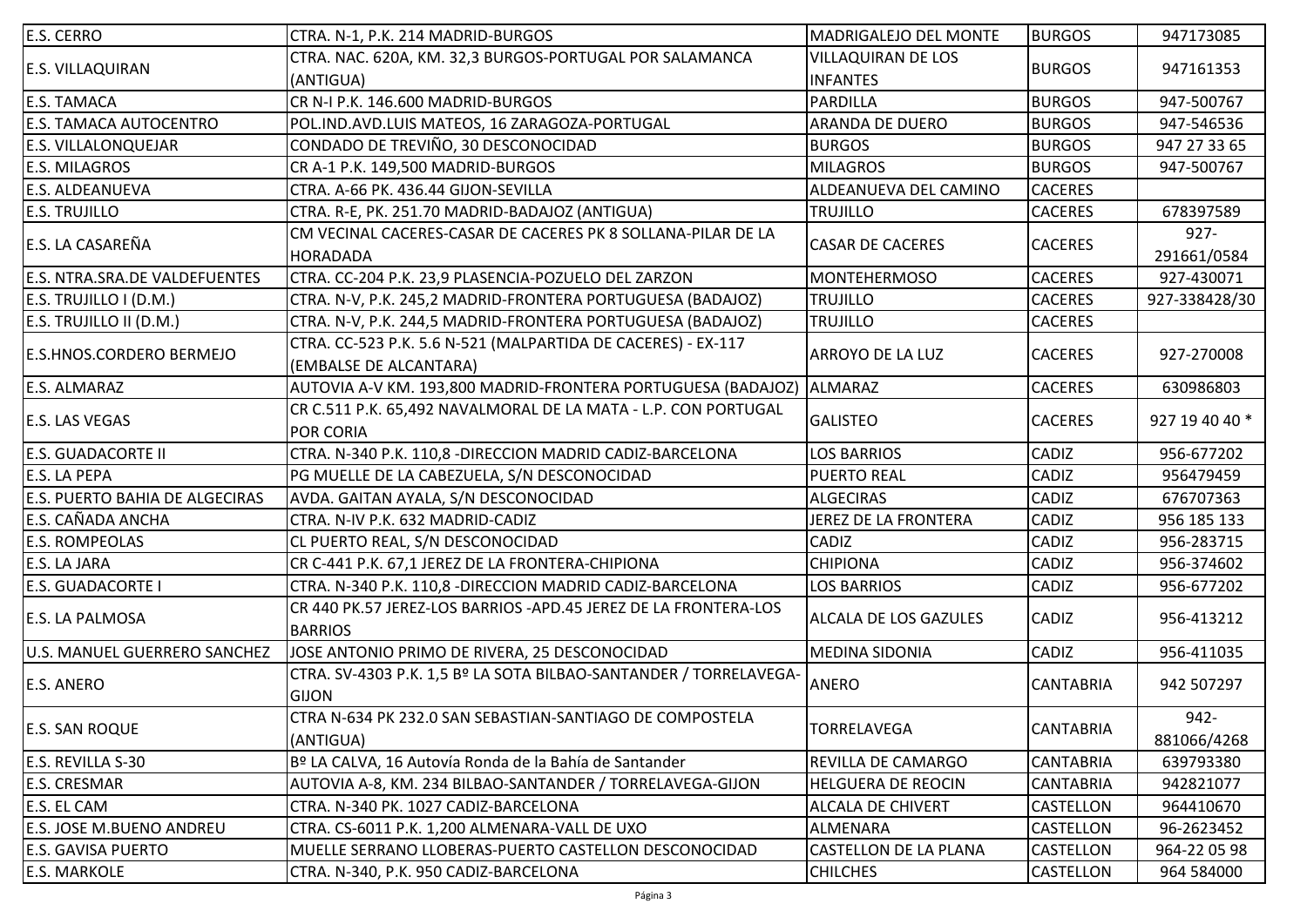| E.S. CERRO                            | CTRA. N-1, P.K. 214 MADRID-BURGOS                                  | <b>MADRIGALEJO DEL MONTE</b> | <b>BURGOS</b>    | 947173085      |
|---------------------------------------|--------------------------------------------------------------------|------------------------------|------------------|----------------|
|                                       | CTRA. NAC. 620A, KM. 32,3 BURGOS-PORTUGAL POR SALAMANCA            | <b>VILLAQUIRAN DE LOS</b>    |                  | 947161353      |
| E.S. VILLAQUIRAN                      | (ANTIGUA)                                                          | <b>INFANTES</b>              | <b>BURGOS</b>    |                |
| <b>E.S. TAMACA</b>                    | CR N-I P.K. 146.600 MADRID-BURGOS                                  | <b>PARDILLA</b>              | <b>BURGOS</b>    | 947-500767     |
| <b>E.S. TAMACA AUTOCENTRO</b>         | POL.IND.AVD.LUIS MATEOS, 16 ZARAGOZA-PORTUGAL                      | <b>ARANDA DE DUERO</b>       | <b>BURGOS</b>    | 947-546536     |
| E.S. VILLALONQUEJAR                   | CONDADO DE TREVIÑO, 30 DESCONOCIDAD                                | <b>BURGOS</b>                | <b>BURGOS</b>    | 947 27 33 65   |
| <b>E.S. MILAGROS</b>                  | CR A-1 P.K. 149,500 MADRID-BURGOS                                  | <b>MILAGROS</b>              | <b>BURGOS</b>    | 947-500767     |
| <b>E.S. ALDEANUEVA</b>                | CTRA. A-66 PK. 436.44 GIJON-SEVILLA                                | ALDEANUEVA DEL CAMINO        | <b>CACERES</b>   |                |
| <b>E.S. TRUJILLO</b>                  | CTRA. R-E, PK. 251.70 MADRID-BADAJOZ (ANTIGUA)                     | <b>TRUJILLO</b>              | <b>CACERES</b>   | 678397589      |
|                                       | CM VECINAL CACERES-CASAR DE CACERES PK 8 SOLLANA-PILAR DE LA       |                              |                  | $927 -$        |
| E.S. LA CASAREÑA                      | <b>HORADADA</b>                                                    | <b>CASAR DE CACERES</b>      | <b>CACERES</b>   | 291661/0584    |
| <b>E.S. NTRA.SRA.DE VALDEFUENTES</b>  | CTRA. CC-204 P.K. 23,9 PLASENCIA-POZUELO DEL ZARZON                | <b>MONTEHERMOSO</b>          | <b>CACERES</b>   | 927-430071     |
| E.S. TRUJILLO I (D.M.)                | CTRA. N-V, P.K. 245,2 MADRID-FRONTERA PORTUGUESA (BADAJOZ)         | <b>TRUJILLO</b>              | <b>CACERES</b>   | 927-338428/30  |
| E.S. TRUJILLO II (D.M.)               | CTRA. N-V, P.K. 244,5 MADRID-FRONTERA PORTUGUESA (BADAJOZ)         | <b>TRUJILLO</b>              | <b>CACERES</b>   |                |
|                                       | CTRA. CC-523 P.K. 5.6 N-521 (MALPARTIDA DE CACERES) - EX-117       |                              |                  | 927-270008     |
| E.S.HNOS.CORDERO BERMEJO              | (EMBALSE DE ALCANTARA)                                             | <b>ARROYO DE LA LUZ</b>      | <b>CACERES</b>   |                |
| E.S. ALMARAZ                          | AUTOVIA A-V KM. 193,800 MADRID-FRONTERA PORTUGUESA (BADAJOZ)       | ALMARAZ                      | <b>CACERES</b>   | 630986803      |
|                                       | CR C.511 P.K. 65,492 NAVALMORAL DE LA MATA - L.P. CON PORTUGAL     | <b>GALISTEO</b>              | <b>CACERES</b>   | 927 19 40 40 * |
| <b>E.S. LAS VEGAS</b>                 | <b>POR CORIA</b>                                                   |                              |                  |                |
| <b>E.S. GUADACORTE II</b>             | CTRA. N-340 P.K. 110,8 - DIRECCION MADRID CADIZ-BARCELONA          | <b>LOS BARRIOS</b>           | <b>CADIZ</b>     | 956-677202     |
| E.S. LA PEPA                          | PG MUELLE DE LA CABEZUELA, S/N DESCONOCIDAD                        | <b>PUERTO REAL</b>           | <b>CADIZ</b>     | 956479459      |
| <b>E.S. PUERTO BAHIA DE ALGECIRAS</b> | AVDA. GAITAN AYALA, S/N DESCONOCIDAD                               | <b>ALGECIRAS</b>             | <b>CADIZ</b>     | 676707363      |
| E.S. CAÑADA ANCHA                     | CTRA. N-IV P.K. 632 MADRID-CADIZ                                   | JEREZ DE LA FRONTERA         | <b>CADIZ</b>     | 956 185 133    |
| <b>E.S. ROMPEOLAS</b>                 | CL PUERTO REAL, S/N DESCONOCIDAD                                   | CADIZ                        | <b>CADIZ</b>     | 956-283715     |
| E.S. LA JARA                          | CR C-441 P.K. 67,1 JEREZ DE LA FRONTERA-CHIPIONA                   | <b>CHIPIONA</b>              | <b>CADIZ</b>     | 956-374602     |
| <b>E.S. GUADACORTE I</b>              | CTRA. N-340 P.K. 110,8 - DIRECCION MADRID CADIZ-BARCELONA          | <b>LOS BARRIOS</b>           | <b>CADIZ</b>     | 956-677202     |
|                                       | CR 440 PK.57 JEREZ-LOS BARRIOS - APD.45 JEREZ DE LA FRONTERA-LOS   |                              |                  |                |
| E.S. LA PALMOSA                       | <b>BARRIOS</b>                                                     | <b>ALCALA DE LOS GAZULES</b> | <b>CADIZ</b>     | 956-413212     |
| <b>U.S. MANUEL GUERRERO SANCHEZ</b>   | JOSE ANTONIO PRIMO DE RIVERA, 25 DESCONOCIDAD                      | <b>MEDINA SIDONIA</b>        | <b>CADIZ</b>     | 956-411035     |
|                                       | CTRA. SV-4303 P.K. 1,5 Bº LA SOTA BILBAO-SANTANDER / TORRELAVEGA-  |                              |                  |                |
| <b>E.S. ANERO</b>                     | GIJON                                                              | <b>ANERO</b>                 | <b>CANTABRIA</b> | 942 507297     |
|                                       | CTRA N-634 PK 232.0 SAN SEBASTIAN-SANTIAGO DE COMPOSTELA           |                              |                  | 942-           |
| <b>E.S. SAN ROQUE</b>                 | (ANTIGUA)                                                          | <b>TORRELAVEGA</b>           | <b>CANTABRIA</b> | 881066/4268    |
| E.S. REVILLA S-30                     | B <sup>o</sup> LA CALVA, 16 Autovía Ronda de la Bahía de Santander | <b>REVILLA DE CAMARGO</b>    | <b>CANTABRIA</b> | 639793380      |
| E.S. CRESMAR                          | AUTOVIA A-8, KM. 234 BILBAO-SANTANDER / TORRELAVEGA-GIJON          | <b>HELGUERA DE REOCIN</b>    | <b>CANTABRIA</b> | 942821077      |
| E.S. EL CAM                           | CTRA. N-340 PK. 1027 CADIZ-BARCELONA                               | ALCALA DE CHIVERT            | <b>CASTELLON</b> | 964410670      |
| <b>E.S. JOSE M.BUENO ANDREU</b>       | CTRA. CS-6011 P.K. 1,200 ALMENARA-VALL DE UXO                      | ALMENARA                     | <b>CASTELLON</b> | 96-2623452     |
| <b>E.S. GAVISA PUERTO</b>             | MUELLE SERRANO LLOBERAS-PUERTO CASTELLON DESCONOCIDAD              | <b>CASTELLON DE LA PLANA</b> | <b>CASTELLON</b> | 964-22 05 98   |
| E.S. MARKOLE                          | CTRA. N-340, P.K. 950 CADIZ-BARCELONA                              | <b>CHILCHES</b>              | <b>CASTELLON</b> | 964 584000     |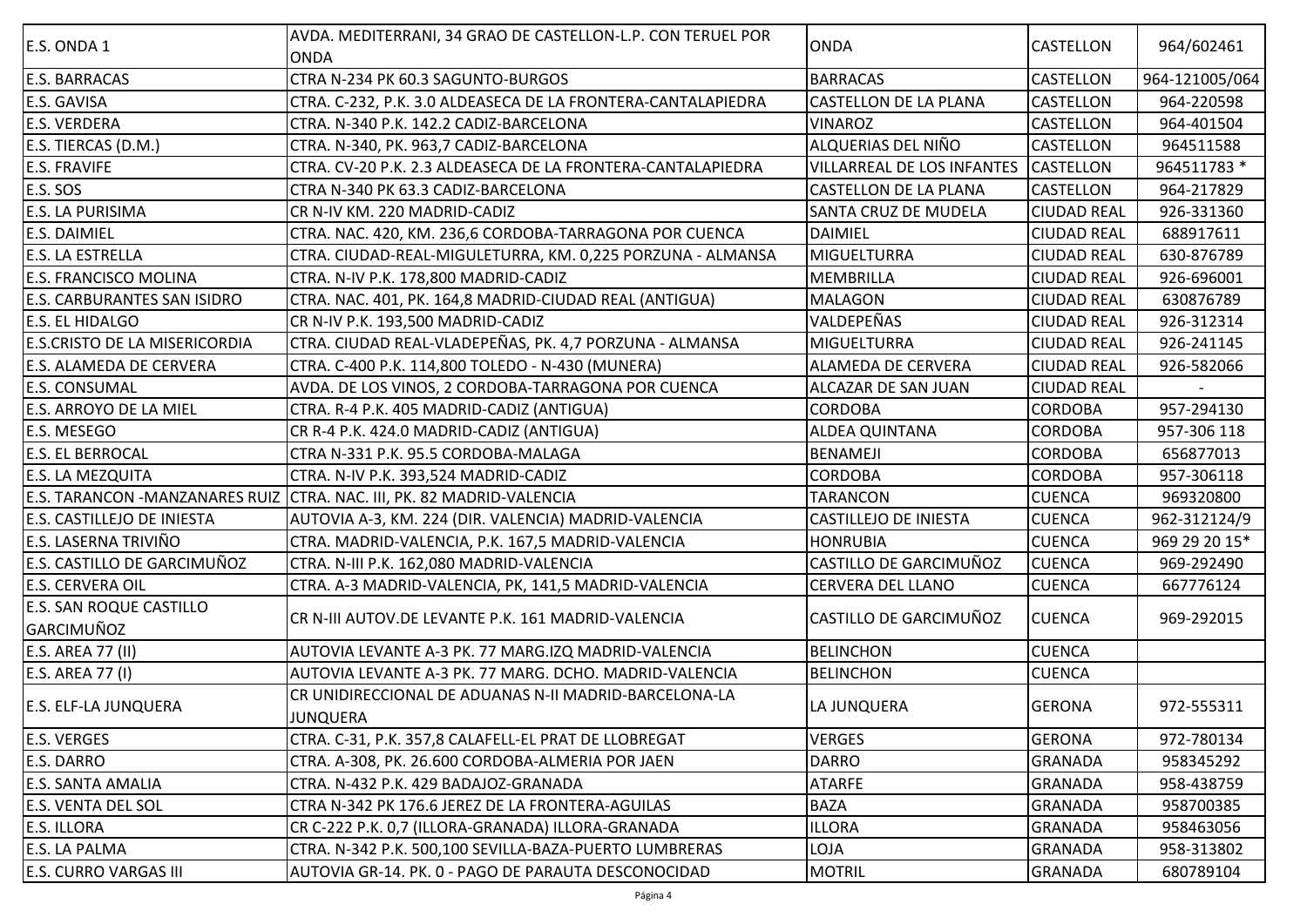| E.S. ONDA 1                           | AVDA. MEDITERRANI, 34 GRAO DE CASTELLON-L.P. CON TERUEL POR<br><b>ONDA</b> | <b>ONDA</b>                       | CASTELLON          | 964/602461     |
|---------------------------------------|----------------------------------------------------------------------------|-----------------------------------|--------------------|----------------|
| <b>E.S. BARRACAS</b>                  | CTRA N-234 PK 60.3 SAGUNTO-BURGOS                                          | <b>BARRACAS</b>                   | CASTELLON          | 964-121005/064 |
| E.S. GAVISA                           | CTRA. C-232, P.K. 3.0 ALDEASECA DE LA FRONTERA-CANTALAPIEDRA               | <b>CASTELLON DE LA PLANA</b>      | CASTELLON          | 964-220598     |
| <b>E.S. VERDERA</b>                   | CTRA. N-340 P.K. 142.2 CADIZ-BARCELONA                                     | <b>VINAROZ</b>                    | CASTELLON          | 964-401504     |
| E.S. TIERCAS (D.M.)                   | CTRA. N-340, PK. 963,7 CADIZ-BARCELONA                                     | ALQUERIAS DEL NIÑO                | CASTELLON          | 964511588      |
| <b>E.S. FRAVIFE</b>                   | CTRA. CV-20 P.K. 2.3 ALDEASECA DE LA FRONTERA-CANTALAPIEDRA                | <b>VILLARREAL DE LOS INFANTES</b> | <b>CASTELLON</b>   | 964511783 *    |
| <b>E.S. SOS</b>                       | CTRA N-340 PK 63.3 CADIZ-BARCELONA                                         | <b>CASTELLON DE LA PLANA</b>      | <b>CASTELLON</b>   | 964-217829     |
| E.S. LA PURISIMA                      | CR N-IV KM. 220 MADRID-CADIZ                                               | SANTA CRUZ DE MUDELA              | <b>CIUDAD REAL</b> | 926-331360     |
| <b>E.S. DAIMIEL</b>                   | CTRA. NAC. 420, KM. 236,6 CORDOBA-TARRAGONA POR CUENCA                     | <b>DAIMIEL</b>                    | <b>CIUDAD REAL</b> | 688917611      |
| E.S. LA ESTRELLA                      | CTRA. CIUDAD-REAL-MIGULETURRA, KM. 0,225 PORZUNA - ALMANSA                 | <b>MIGUELTURRA</b>                | <b>CIUDAD REAL</b> | 630-876789     |
| <b>E.S. FRANCISCO MOLINA</b>          | CTRA. N-IV P.K. 178,800 MADRID-CADIZ                                       | <b>MEMBRILLA</b>                  | <b>CIUDAD REAL</b> | 926-696001     |
| <b>E.S. CARBURANTES SAN ISIDRO</b>    | CTRA. NAC. 401, PK. 164,8 MADRID-CIUDAD REAL (ANTIGUA)                     | <b>MALAGON</b>                    | <b>CIUDAD REAL</b> | 630876789      |
| E.S. EL HIDALGO                       | CR N-IV P.K. 193,500 MADRID-CADIZ                                          | VALDEPEÑAS                        | <b>CIUDAD REAL</b> | 926-312314     |
| <b>E.S.CRISTO DE LA MISERICORDIA</b>  | CTRA. CIUDAD REAL-VLADEPEÑAS, PK. 4,7 PORZUNA - ALMANSA                    | <b>MIGUELTURRA</b>                | <b>CIUDAD REAL</b> | 926-241145     |
| E.S. ALAMEDA DE CERVERA               | CTRA. C-400 P.K. 114,800 TOLEDO - N-430 (MUNERA)                           | ALAMEDA DE CERVERA                | <b>CIUDAD REAL</b> | 926-582066     |
| <b>E.S. CONSUMAL</b>                  | AVDA. DE LOS VINOS, 2 CORDOBA-TARRAGONA POR CUENCA                         | ALCAZAR DE SAN JUAN               | <b>CIUDAD REAL</b> |                |
| E.S. ARROYO DE LA MIEL                | CTRA. R-4 P.K. 405 MADRID-CADIZ (ANTIGUA)                                  | <b>CORDOBA</b>                    | <b>CORDOBA</b>     | 957-294130     |
| E.S. MESEGO                           | CR R-4 P.K. 424.0 MADRID-CADIZ (ANTIGUA)                                   | <b>ALDEA QUINTANA</b>             | <b>CORDOBA</b>     | 957-306 118    |
| <b>E.S. EL BERROCAL</b>               | CTRA N-331 P.K. 95.5 CORDOBA-MALAGA                                        | <b>BENAMEJI</b>                   | <b>CORDOBA</b>     | 656877013      |
| <b>E.S. LA MEZQUITA</b>               | CTRA. N-IV P.K. 393,524 MADRID-CADIZ                                       | <b>CORDOBA</b>                    | <b>CORDOBA</b>     | 957-306118     |
| <b>E.S. TARANCON -MANZANARES RUIZ</b> | CTRA. NAC. III, PK. 82 MADRID-VALENCIA                                     | <b>TARANCON</b>                   | <b>CUENCA</b>      | 969320800      |
| E.S. CASTILLEJO DE INIESTA            | AUTOVIA A-3, KM. 224 (DIR. VALENCIA) MADRID-VALENCIA                       | CASTILLEJO DE INIESTA             | <b>CUENCA</b>      | 962-312124/9   |
| E.S. LASERNA TRIVIÑO                  | CTRA. MADRID-VALENCIA, P.K. 167,5 MADRID-VALENCIA                          | <b>HONRUBIA</b>                   | <b>CUENCA</b>      | 969 29 20 15*  |
| E.S. CASTILLO DE GARCIMUÑOZ           | CTRA. N-III P.K. 162,080 MADRID-VALENCIA                                   | CASTILLO DE GARCIMUÑOZ            | <b>CUENCA</b>      | 969-292490     |
| <b>E.S. CERVERA OIL</b>               | CTRA. A-3 MADRID-VALENCIA, PK, 141,5 MADRID-VALENCIA                       | CERVERA DEL LLANO                 | <b>CUENCA</b>      | 667776124      |
| <b>E.S. SAN ROQUE CASTILLO</b>        | CR N-III AUTOV.DE LEVANTE P.K. 161 MADRID-VALENCIA                         | <b>CASTILLO DE GARCIMUÑOZ</b>     | <b>CUENCA</b>      | 969-292015     |
| <b>GARCIMUÑOZ</b>                     |                                                                            |                                   |                    |                |
| E.S. AREA 77 (II)                     | AUTOVIA LEVANTE A-3 PK. 77 MARG.IZQ MADRID-VALENCIA                        | <b>BELINCHON</b>                  | <b>CUENCA</b>      |                |
| E.S. AREA 77 (I)                      | AUTOVIA LEVANTE A-3 PK. 77 MARG. DCHO. MADRID-VALENCIA                     | <b>BELINCHON</b>                  | <b>CUENCA</b>      |                |
| <b>E.S. ELF-LA JUNQUERA</b>           | CR UNIDIRECCIONAL DE ADUANAS N-II MADRID-BARCELONA-LA                      | LA JUNQUERA                       | <b>GERONA</b>      | 972-555311     |
|                                       | JUNQUERA                                                                   |                                   |                    |                |
| <b>E.S. VERGES</b>                    | CTRA. C-31, P.K. 357,8 CALAFELL-EL PRAT DE LLOBREGAT                       | <b>VERGES</b>                     | <b>GERONA</b>      | 972-780134     |
| <b>E.S. DARRO</b>                     | CTRA. A-308, PK. 26.600 CORDOBA-ALMERIA POR JAEN                           | <b>DARRO</b>                      | <b>GRANADA</b>     | 958345292      |
| <b>E.S. SANTA AMALIA</b>              | CTRA. N-432 P.K. 429 BADAJOZ-GRANADA                                       | <b>ATARFE</b>                     | <b>GRANADA</b>     | 958-438759     |
| E.S. VENTA DEL SOL                    | CTRA N-342 PK 176.6 JEREZ DE LA FRONTERA-AGUILAS                           | <b>BAZA</b>                       | <b>GRANADA</b>     | 958700385      |
| <b>E.S. ILLORA</b>                    | CR C-222 P.K. 0,7 (ILLORA-GRANADA) ILLORA-GRANADA                          | <b>ILLORA</b>                     | <b>GRANADA</b>     | 958463056      |
| E.S. LA PALMA                         | CTRA. N-342 P.K. 500,100 SEVILLA-BAZA-PUERTO LUMBRERAS                     | LOJA                              | <b>GRANADA</b>     | 958-313802     |
| <b>E.S. CURRO VARGAS III</b>          | AUTOVIA GR-14. PK. 0 - PAGO DE PARAUTA DESCONOCIDAD                        | <b>MOTRIL</b>                     | <b>GRANADA</b>     | 680789104      |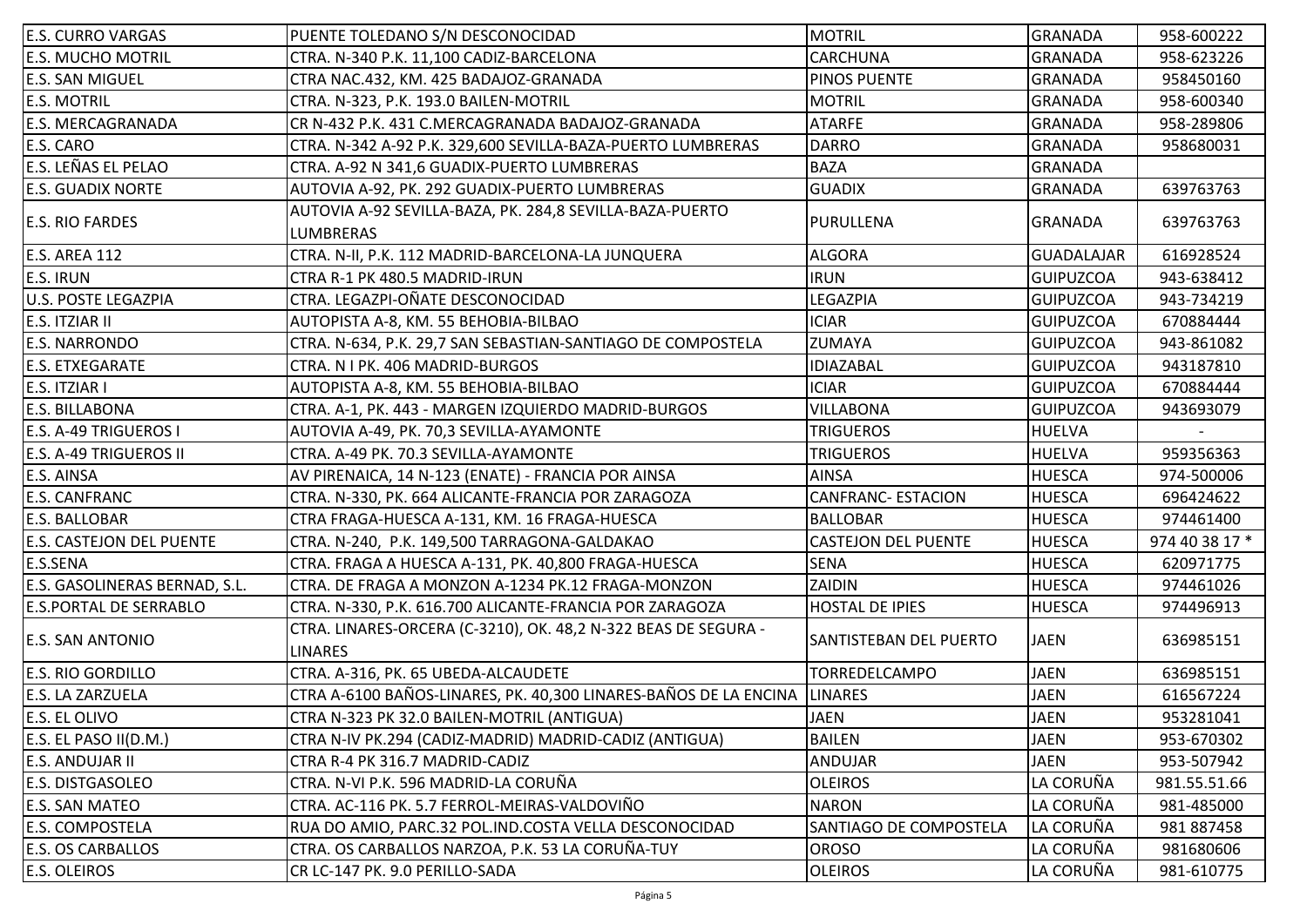| <b>E.S. CURRO VARGAS</b>        | PUENTE TOLEDANO S/N DESCONOCIDAD                                                 | <b>MOTRIL</b>              | <b>GRANADA</b>   | 958-600222     |
|---------------------------------|----------------------------------------------------------------------------------|----------------------------|------------------|----------------|
| <b>E.S. MUCHO MOTRIL</b>        | CTRA. N-340 P.K. 11,100 CADIZ-BARCELONA                                          | <b>CARCHUNA</b>            | GRANADA          | 958-623226     |
| <b>E.S. SAN MIGUEL</b>          | CTRA NAC.432, KM. 425 BADAJOZ-GRANADA                                            | <b>PINOS PUENTE</b>        | <b>GRANADA</b>   | 958450160      |
| <b>E.S. MOTRIL</b>              | CTRA. N-323, P.K. 193.0 BAILEN-MOTRIL                                            | <b>MOTRIL</b>              | <b>GRANADA</b>   | 958-600340     |
| <b>E.S. MERCAGRANADA</b>        | CR N-432 P.K. 431 C.MERCAGRANADA BADAJOZ-GRANADA                                 | <b>ATARFE</b>              | <b>GRANADA</b>   | 958-289806     |
| E.S. CARO                       | CTRA. N-342 A-92 P.K. 329,600 SEVILLA-BAZA-PUERTO LUMBRERAS                      | <b>DARRO</b>               | <b>GRANADA</b>   | 958680031      |
| E.S. LEÑAS EL PELAO             | CTRA. A-92 N 341,6 GUADIX-PUERTO LUMBRERAS                                       | <b>BAZA</b>                | <b>GRANADA</b>   |                |
| <b>E.S. GUADIX NORTE</b>        | AUTOVIA A-92, PK. 292 GUADIX-PUERTO LUMBRERAS                                    | <b>GUADIX</b>              | <b>GRANADA</b>   | 639763763      |
| <b>E.S. RIO FARDES</b>          | AUTOVIA A-92 SEVILLA-BAZA, PK. 284,8 SEVILLA-BAZA-PUERTO<br><b>LUMBRERAS</b>     | PURULLENA                  | <b>GRANADA</b>   | 639763763      |
| E.S. AREA 112                   | CTRA. N-II, P.K. 112 MADRID-BARCELONA-LA JUNQUERA                                | <b>ALGORA</b>              | GUADALAJAR       | 616928524      |
| <b>E.S. IRUN</b>                | CTRA R-1 PK 480.5 MADRID-IRUN                                                    | <b>IRUN</b>                | <b>GUIPUZCOA</b> | 943-638412     |
| <b>U.S. POSTE LEGAZPIA</b>      | CTRA. LEGAZPI-OÑATE DESCONOCIDAD                                                 | LEGAZPIA                   | <b>GUIPUZCOA</b> | 943-734219     |
| E.S. ITZIAR II                  | AUTOPISTA A-8, KM. 55 BEHOBIA-BILBAO                                             | <b>ICIAR</b>               | <b>GUIPUZCOA</b> | 670884444      |
| <b>E.S. NARRONDO</b>            | CTRA. N-634, P.K. 29,7 SAN SEBASTIAN-SANTIAGO DE COMPOSTELA                      | <b>ZUMAYA</b>              | <b>GUIPUZCOA</b> | 943-861082     |
| <b>E.S. ETXEGARATE</b>          | CTRA. N I PK. 406 MADRID-BURGOS                                                  | <b>IDIAZABAL</b>           | <b>GUIPUZCOA</b> | 943187810      |
| E.S. ITZIAR I                   | AUTOPISTA A-8, KM. 55 BEHOBIA-BILBAO                                             | <b>ICIAR</b>               | <b>GUIPUZCOA</b> | 670884444      |
| <b>E.S. BILLABONA</b>           | CTRA. A-1, PK. 443 - MARGEN IZQUIERDO MADRID-BURGOS                              | <b>VILLABONA</b>           | <b>GUIPUZCOA</b> | 943693079      |
| E.S. A-49 TRIGUEROS I           | AUTOVIA A-49, PK. 70,3 SEVILLA-AYAMONTE                                          | <b>TRIGUEROS</b>           | HUELVA           |                |
| <b>E.S. A-49 TRIGUEROS II</b>   | CTRA. A-49 PK. 70.3 SEVILLA-AYAMONTE                                             | <b>TRIGUEROS</b>           | <b>HUELVA</b>    | 959356363      |
| <b>E.S. AINSA</b>               | AV PIRENAICA, 14 N-123 (ENATE) - FRANCIA POR AINSA                               | <b>AINSA</b>               | <b>HUESCA</b>    | 974-500006     |
| <b>E.S. CANFRANC</b>            | CTRA. N-330, PK. 664 ALICANTE-FRANCIA POR ZARAGOZA                               | <b>CANFRANC- ESTACION</b>  | <b>HUESCA</b>    | 696424622      |
| <b>E.S. BALLOBAR</b>            | CTRA FRAGA-HUESCA A-131, KM. 16 FRAGA-HUESCA                                     | <b>BALLOBAR</b>            | <b>HUESCA</b>    | 974461400      |
| <b>E.S. CASTEJON DEL PUENTE</b> | CTRA. N-240, P.K. 149,500 TARRAGONA-GALDAKAO                                     | <b>CASTEJON DEL PUENTE</b> | <b>HUESCA</b>    | 974 40 38 17 * |
| E.S.SENA                        | CTRA. FRAGA A HUESCA A-131, PK. 40,800 FRAGA-HUESCA                              | <b>SENA</b>                | <b>HUESCA</b>    | 620971775      |
| E.S. GASOLINERAS BERNAD, S.L.   | CTRA. DE FRAGA A MONZON A-1234 PK.12 FRAGA-MONZON                                | ZAIDIN                     | <b>HUESCA</b>    | 974461026      |
| <b>E.S.PORTAL DE SERRABLO</b>   | CTRA. N-330, P.K. 616.700 ALICANTE-FRANCIA POR ZARAGOZA                          | <b>HOSTAL DE IPIES</b>     | <b>HUESCA</b>    | 974496913      |
| <b>E.S. SAN ANTONIO</b>         | CTRA. LINARES-ORCERA (C-3210), OK. 48,2 N-322 BEAS DE SEGURA -<br><b>LINARES</b> | SANTISTEBAN DEL PUERTO     | <b>JAEN</b>      | 636985151      |
| <b>E.S. RIO GORDILLO</b>        | CTRA. A-316, PK. 65 UBEDA-ALCAUDETE                                              | <b>TORREDELCAMPO</b>       | <b>JAEN</b>      | 636985151      |
| E.S. LA ZARZUELA                | CTRA A-6100 BAÑOS-LINARES, PK. 40,300 LINARES-BAÑOS DE LA ENCINA                 | <b>LINARES</b>             | <b>JAEN</b>      | 616567224      |
| <b>E.S. EL OLIVO</b>            | CTRA N-323 PK 32.0 BAILEN-MOTRIL (ANTIGUA)                                       | <b>JAEN</b>                | <b>JAEN</b>      | 953281041      |
| E.S. EL PASO II(D.M.)           | CTRA N-IV PK.294 (CADIZ-MADRID) MADRID-CADIZ (ANTIGUA)                           | <b>BAILEN</b>              | <b>JAEN</b>      | 953-670302     |
| <b>E.S. ANDUJAR II</b>          | CTRA R-4 PK 316.7 MADRID-CADIZ                                                   | ANDUJAR                    | <b>JAEN</b>      | 953-507942     |
| <b>E.S. DISTGASOLEO</b>         | CTRA. N-VI P.K. 596 MADRID-LA CORUÑA                                             | <b>OLEIROS</b>             | LA CORUÑA        | 981.55.51.66   |
| <b>E.S. SAN MATEO</b>           | CTRA. AC-116 PK. 5.7 FERROL-MEIRAS-VALDOVIÑO                                     | <b>NARON</b>               | LA CORUÑA        | 981-485000     |
| <b>E.S. COMPOSTELA</b>          | RUA DO AMIO, PARC.32 POL.IND.COSTA VELLA DESCONOCIDAD                            | SANTIAGO DE COMPOSTELA     | LA CORUÑA        | 981 887458     |
| <b>E.S. OS CARBALLOS</b>        | CTRA. OS CARBALLOS NARZOA, P.K. 53 LA CORUÑA-TUY                                 | <b>OROSO</b>               | LA CORUÑA        | 981680606      |
| <b>E.S. OLEIROS</b>             | CR LC-147 PK. 9.0 PERILLO-SADA                                                   | <b>OLEIROS</b>             | LA CORUÑA        | 981-610775     |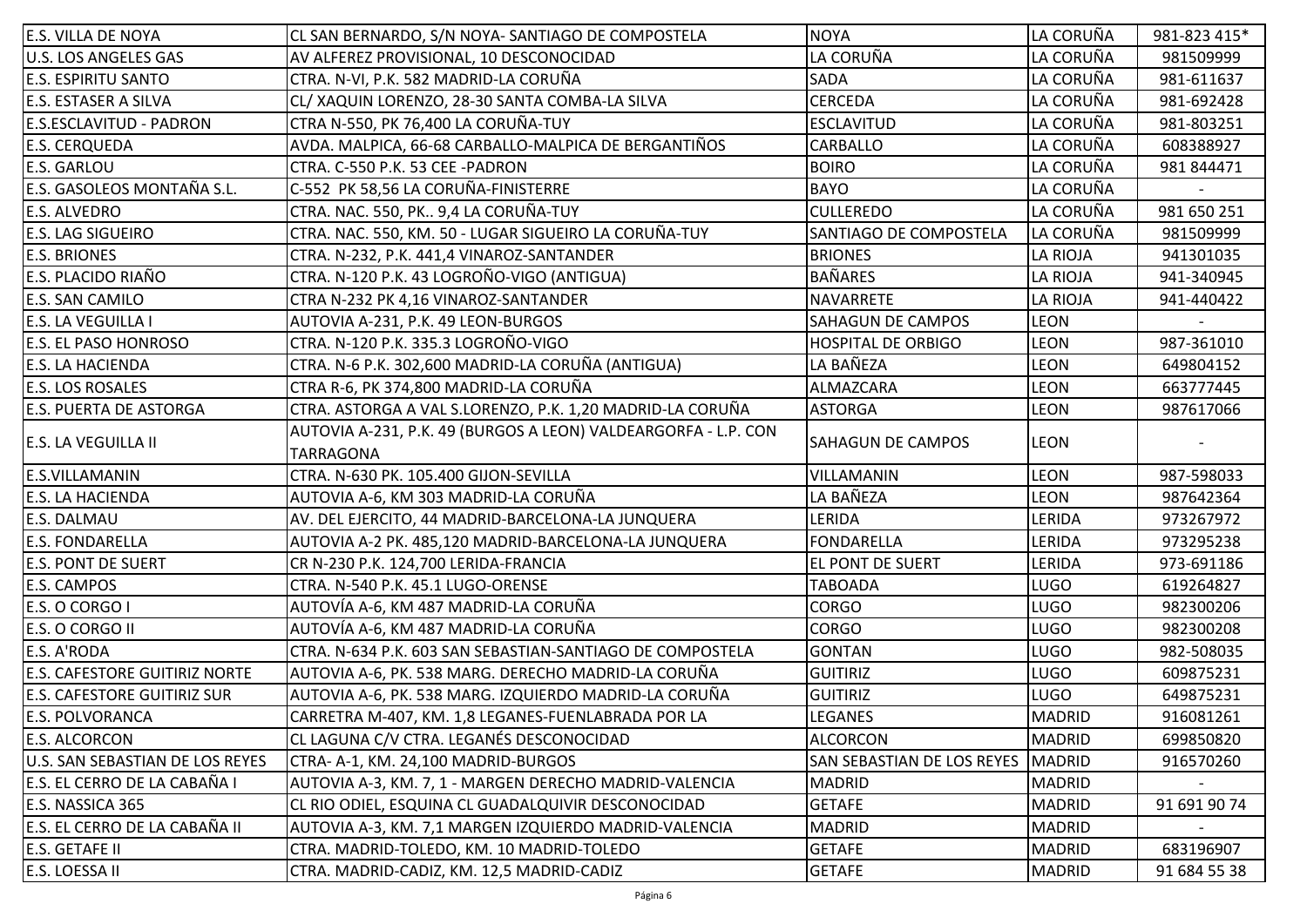| E.S. VILLA DE NOYA                   | CL SAN BERNARDO, S/N NOYA- SANTIAGO DE COMPOSTELA                           | <b>NOYA</b>                       | LA CORUÑA     | 981-823 415* |
|--------------------------------------|-----------------------------------------------------------------------------|-----------------------------------|---------------|--------------|
| <b>U.S. LOS ANGELES GAS</b>          | AV ALFEREZ PROVISIONAL, 10 DESCONOCIDAD                                     | LA CORUÑA                         | LA CORUÑA     | 981509999    |
| <b>E.S. ESPIRITU SANTO</b>           | CTRA. N-VI, P.K. 582 MADRID-LA CORUÑA                                       | <b>SADA</b>                       | LA CORUÑA     | 981-611637   |
| <b>E.S. ESTASER A SILVA</b>          | CL/ XAQUIN LORENZO, 28-30 SANTA COMBA-LA SILVA                              | <b>CERCEDA</b>                    | LA CORUÑA     | 981-692428   |
| E.S.ESCLAVITUD - PADRON              | CTRA N-550, PK 76,400 LA CORUÑA-TUY                                         | <b>ESCLAVITUD</b>                 | LA CORUÑA     | 981-803251   |
| <b>E.S. CERQUEDA</b>                 | AVDA. MALPICA, 66-68 CARBALLO-MALPICA DE BERGANTIÑOS                        | CARBALLO                          | LA CORUÑA     | 608388927    |
| <b>E.S. GARLOU</b>                   | CTRA. C-550 P.K. 53 CEE -PADRON                                             | <b>BOIRO</b>                      | LA CORUÑA     | 981 844471   |
| E.S. GASOLEOS MONTAÑA S.L.           | C-552 PK 58,56 LA CORUÑA-FINISTERRE                                         | <b>BAYO</b>                       | LA CORUÑA     |              |
| E.S. ALVEDRO                         | CTRA. NAC. 550, PK 9,4 LA CORUÑA-TUY                                        | <b>CULLEREDO</b>                  | LA CORUÑA     | 981 650 251  |
| <b>E.S. LAG SIGUEIRO</b>             | CTRA. NAC. 550, KM. 50 - LUGAR SIGUEIRO LA CORUÑA-TUY                       | <b>SANTIAGO DE COMPOSTELA</b>     | LA CORUÑA     | 981509999    |
| <b>E.S. BRIONES</b>                  | CTRA. N-232, P.K. 441,4 VINAROZ-SANTANDER                                   | <b>BRIONES</b>                    | LA RIOJA      | 941301035    |
| E.S. PLACIDO RIAÑO                   | CTRA. N-120 P.K. 43 LOGROÑO-VIGO (ANTIGUA)                                  | <b>BAÑARES</b>                    | LA RIOJA      | 941-340945   |
| E.S. SAN CAMILO                      | CTRA N-232 PK 4,16 VINAROZ-SANTANDER                                        | <b>NAVARRETE</b>                  | LA RIOJA      | 941-440422   |
| <b>E.S. LA VEGUILLA I</b>            | AUTOVIA A-231, P.K. 49 LEON-BURGOS                                          | <b>SAHAGUN DE CAMPOS</b>          | <b>LEON</b>   |              |
| E.S. EL PASO HONROSO                 | CTRA. N-120 P.K. 335.3 LOGROÑO-VIGO                                         | <b>HOSPITAL DE ORBIGO</b>         | <b>LEON</b>   | 987-361010   |
| <b>E.S. LA HACIENDA</b>              | CTRA. N-6 P.K. 302,600 MADRID-LA CORUÑA (ANTIGUA)                           | LA BAÑEZA                         | <b>LEON</b>   | 649804152    |
| <b>E.S. LOS ROSALES</b>              | CTRA R-6, PK 374,800 MADRID-LA CORUÑA                                       | ALMAZCARA                         | <b>LEON</b>   | 663777445    |
| <b>E.S. PUERTA DE ASTORGA</b>        | CTRA. ASTORGA A VAL S.LORENZO, P.K. 1,20 MADRID-LA CORUÑA                   | <b>ASTORGA</b>                    | <b>LEON</b>   | 987617066    |
| <b>E.S. LA VEGUILLA II</b>           | AUTOVIA A-231, P.K. 49 (BURGOS A LEON) VALDEARGORFA - L.P. CON<br>TARRAGONA | <b>SAHAGUN DE CAMPOS</b>          | <b>LEON</b>   |              |
| E.S.VILLAMANIN                       | CTRA. N-630 PK. 105.400 GIJON-SEVILLA                                       | VILLAMANIN                        | <b>LEON</b>   | 987-598033   |
| <b>E.S. LA HACIENDA</b>              | AUTOVIA A-6, KM 303 MADRID-LA CORUÑA                                        | LA BAÑEZA                         | <b>LEON</b>   | 987642364    |
| E.S. DALMAU                          | AV. DEL EJERCITO, 44 MADRID-BARCELONA-LA JUNQUERA                           | LERIDA                            | LERIDA        | 973267972    |
| <b>E.S. FONDARELLA</b>               | AUTOVIA A-2 PK. 485,120 MADRID-BARCELONA-LA JUNQUERA                        | <b>FONDARELLA</b>                 | LERIDA        | 973295238    |
| <b>E.S. PONT DE SUERT</b>            | CR N-230 P.K. 124,700 LERIDA-FRANCIA                                        | <b>EL PONT DE SUERT</b>           | LERIDA        | 973-691186   |
| <b>E.S. CAMPOS</b>                   | CTRA. N-540 P.K. 45.1 LUGO-ORENSE                                           | TABOADA                           | <b>LUGO</b>   | 619264827    |
| E.S. O CORGO I                       | AUTOVÍA A-6, KM 487 MADRID-LA CORUÑA                                        | <b>CORGO</b>                      | <b>LUGO</b>   | 982300206    |
| E.S. O CORGO II                      | AUTOVÍA A-6, KM 487 MADRID-LA CORUÑA                                        | <b>CORGO</b>                      | <b>LUGO</b>   | 982300208    |
| E.S. A'RODA                          | CTRA. N-634 P.K. 603 SAN SEBASTIAN-SANTIAGO DE COMPOSTELA                   | <b>GONTAN</b>                     | <b>LUGO</b>   | 982-508035   |
| <b>E.S. CAFESTORE GUITIRIZ NORTE</b> | AUTOVIA A-6, PK. 538 MARG. DERECHO MADRID-LA CORUÑA                         | <b>GUITIRIZ</b>                   | <b>LUGO</b>   | 609875231    |
| <b>E.S. CAFESTORE GUITIRIZ SUR</b>   | AUTOVIA A-6, PK. 538 MARG. IZQUIERDO MADRID-LA CORUÑA                       | <b>GUITIRIZ</b>                   | <b>LUGO</b>   | 649875231    |
| <b>E.S. POLVORANCA</b>               | CARRETRA M-407, KM. 1,8 LEGANES-FUENLABRADA POR LA                          | <b>LEGANES</b>                    | MADRID        | 916081261    |
| E.S. ALCORCON                        | CL LAGUNA C/V CTRA. LEGANÉS DESCONOCIDAD                                    | <b>ALCORCON</b>                   | MADRID        | 699850820    |
| U.S. SAN SEBASTIAN DE LOS REYES      | CTRA-A-1, KM. 24,100 MADRID-BURGOS                                          | <b>SAN SEBASTIAN DE LOS REYES</b> | MADRID        | 916570260    |
| E.S. EL CERRO DE LA CABAÑA I         | AUTOVIA A-3, KM. 7, 1 - MARGEN DERECHO MADRID-VALENCIA                      | <b>MADRID</b>                     | <b>MADRID</b> |              |
| E.S. NASSICA 365                     | CL RIO ODIEL, ESQUINA CL GUADALQUIVIR DESCONOCIDAD                          | <b>GETAFE</b>                     | MADRID        | 91 691 90 74 |
| E.S. EL CERRO DE LA CABAÑA II        | AUTOVIA A-3, KM. 7,1 MARGEN IZQUIERDO MADRID-VALENCIA                       | <b>MADRID</b>                     | <b>MADRID</b> |              |
| E.S. GETAFE II                       | CTRA. MADRID-TOLEDO, KM. 10 MADRID-TOLEDO                                   | <b>GETAFE</b>                     | <b>MADRID</b> | 683196907    |
| E.S. LOESSA II                       | CTRA. MADRID-CADIZ, KM. 12,5 MADRID-CADIZ                                   | <b>GETAFE</b>                     | <b>MADRID</b> | 91 684 55 38 |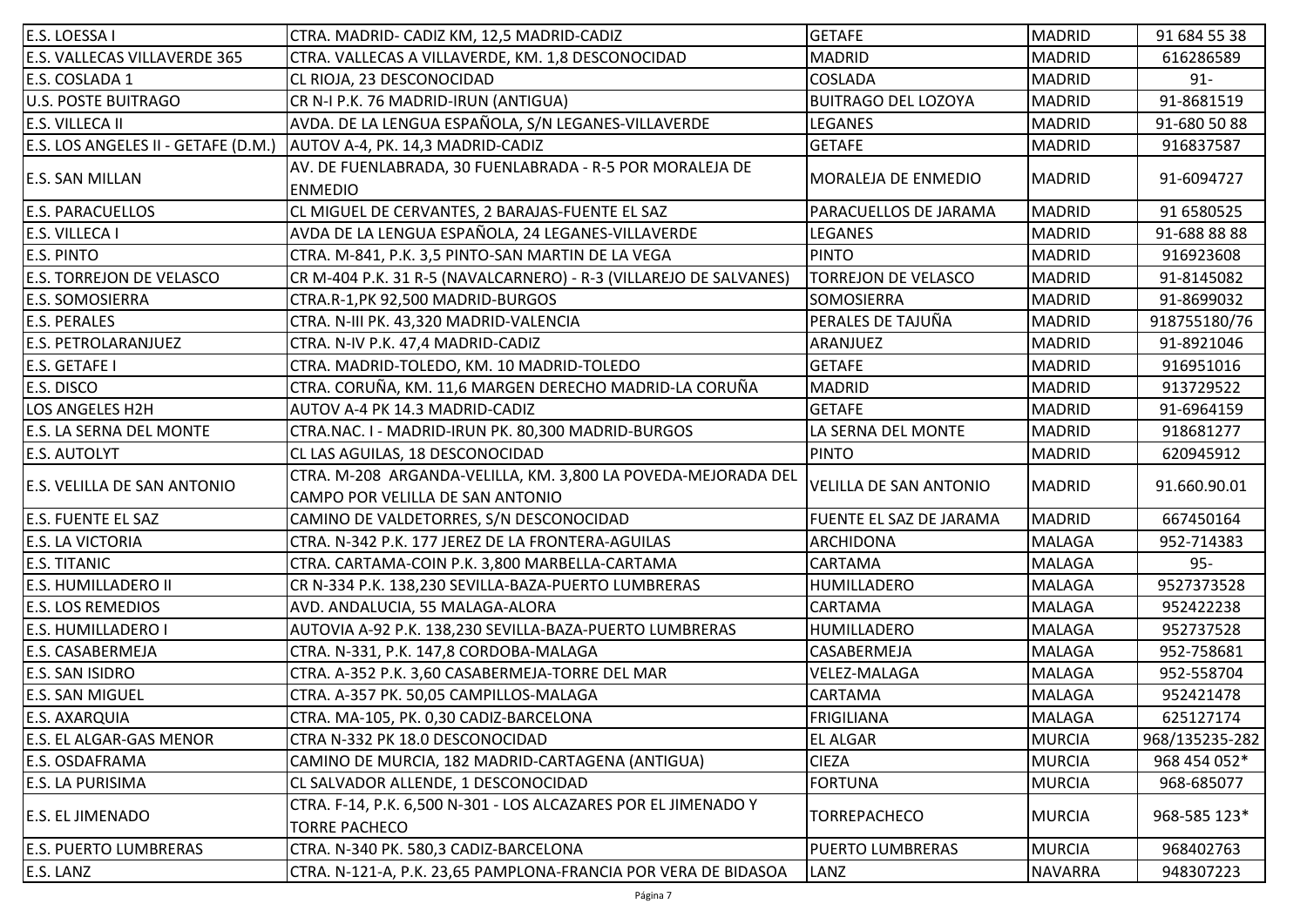| E.S. LOESSA I                       | CTRA. MADRID- CADIZ KM, 12,5 MADRID-CADIZ                                                         | <b>GETAFE</b>                  | <b>MADRID</b>  | 91 684 55 38   |
|-------------------------------------|---------------------------------------------------------------------------------------------------|--------------------------------|----------------|----------------|
| <b>E.S. VALLECAS VILLAVERDE 365</b> | CTRA. VALLECAS A VILLAVERDE, KM. 1,8 DESCONOCIDAD                                                 | <b>MADRID</b>                  | MADRID         | 616286589      |
| E.S. COSLADA 1                      | CL RIOJA, 23 DESCONOCIDAD                                                                         | COSLADA                        | <b>MADRID</b>  | $91 -$         |
| <b>U.S. POSTE BUITRAGO</b>          | CR N-I P.K. 76 MADRID-IRUN (ANTIGUA)                                                              | <b>BUITRAGO DEL LOZOYA</b>     | MADRID         | 91-8681519     |
| E.S. VILLECA II                     | AVDA. DE LA LENGUA ESPAÑOLA, S/N LEGANES-VILLAVERDE                                               | LEGANES                        | MADRID         | 91-680 50 88   |
| E.S. LOS ANGELES II - GETAFE (D.M.) | AUTOV A-4, PK. 14,3 MADRID-CADIZ                                                                  | <b>GETAFE</b>                  | <b>MADRID</b>  | 916837587      |
| <b>E.S. SAN MILLAN</b>              | AV. DE FUENLABRADA, 30 FUENLABRADA - R-5 POR MORALEJA DE<br><b>ENMEDIO</b>                        | MORALEJA DE ENMEDIO            | <b>MADRID</b>  | 91-6094727     |
| <b>E.S. PARACUELLOS</b>             | CL MIGUEL DE CERVANTES, 2 BARAJAS-FUENTE EL SAZ                                                   | PARACUELLOS DE JARAMA          | MADRID         | 91 6580525     |
| E.S. VILLECA I                      | AVDA DE LA LENGUA ESPAÑOLA, 24 LEGANES-VILLAVERDE                                                 | LEGANES                        | MADRID         | 91-688 88 88   |
| <b>E.S. PINTO</b>                   | CTRA. M-841, P.K. 3,5 PINTO-SAN MARTIN DE LA VEGA                                                 | <b>PINTO</b>                   | <b>MADRID</b>  | 916923608      |
| <b>E.S. TORREJON DE VELASCO</b>     | CR M-404 P.K. 31 R-5 (NAVALCARNERO) - R-3 (VILLAREJO DE SALVANES)                                 | <b>TORREJON DE VELASCO</b>     | <b>MADRID</b>  | 91-8145082     |
| <b>E.S. SOMOSIERRA</b>              | CTRA.R-1,PK 92,500 MADRID-BURGOS                                                                  | SOMOSIERRA                     | MADRID         | 91-8699032     |
| <b>E.S. PERALES</b>                 | CTRA. N-III PK. 43,320 MADRID-VALENCIA                                                            | PERALES DE TAJUÑA              | MADRID         | 918755180/76   |
| <b>E.S. PETROLARANJUEZ</b>          | CTRA. N-IV P.K. 47,4 MADRID-CADIZ                                                                 | ARANJUEZ                       | MADRID         | 91-8921046     |
| E.S. GETAFE I                       | CTRA. MADRID-TOLEDO, KM. 10 MADRID-TOLEDO                                                         | <b>GETAFE</b>                  | MADRID         | 916951016      |
| E.S. DISCO                          | CTRA. CORUÑA, KM. 11,6 MARGEN DERECHO MADRID-LA CORUÑA                                            | <b>MADRID</b>                  | MADRID         | 913729522      |
| LOS ANGELES H2H                     | AUTOV A-4 PK 14.3 MADRID-CADIZ                                                                    | <b>GETAFE</b>                  | <b>MADRID</b>  | 91-6964159     |
| E.S. LA SERNA DEL MONTE             | CTRA.NAC. I - MADRID-IRUN PK. 80,300 MADRID-BURGOS                                                | LA SERNA DEL MONTE             | MADRID         | 918681277      |
| <b>E.S. AUTOLYT</b>                 | CL LAS AGUILAS, 18 DESCONOCIDAD                                                                   | PINTO                          | MADRID         | 620945912      |
| E.S. VELILLA DE SAN ANTONIO         | CTRA. M-208 ARGANDA-VELILLA, KM. 3,800 LA POVEDA-MEJORADA DEL<br>CAMPO POR VELILLA DE SAN ANTONIO | VELILLA DE SAN ANTONIO         | MADRID         | 91.660.90.01   |
| <b>E.S. FUENTE EL SAZ</b>           | CAMINO DE VALDETORRES, S/N DESCONOCIDAD                                                           | <b>FUENTE EL SAZ DE JARAMA</b> | MADRID         | 667450164      |
| <b>E.S. LA VICTORIA</b>             | CTRA. N-342 P.K. 177 JEREZ DE LA FRONTERA-AGUILAS                                                 | <b>ARCHIDONA</b>               | <b>MALAGA</b>  | 952-714383     |
| <b>E.S. TITANIC</b>                 | CTRA. CARTAMA-COIN P.K. 3,800 MARBELLA-CARTAMA                                                    | CARTAMA                        | <b>MALAGA</b>  | $95 -$         |
| E.S. HUMILLADERO II                 | CR N-334 P.K. 138,230 SEVILLA-BAZA-PUERTO LUMBRERAS                                               | HUMILLADERO                    | <b>MALAGA</b>  | 9527373528     |
| <b>E.S. LOS REMEDIOS</b>            | AVD. ANDALUCIA, 55 MALAGA-ALORA                                                                   | CARTAMA                        | <b>MALAGA</b>  | 952422238      |
| E.S. HUMILLADERO I                  | AUTOVIA A-92 P.K. 138,230 SEVILLA-BAZA-PUERTO LUMBRERAS                                           | HUMILLADERO                    | <b>MALAGA</b>  | 952737528      |
| E.S. CASABERMEJA                    | CTRA. N-331, P.K. 147,8 CORDOBA-MALAGA                                                            | CASABERMEJA                    | MALAGA         | 952-758681     |
| E.S. SAN ISIDRO                     | CTRA. A-352 P.K. 3,60 CASABERMEJA-TORRE DEL MAR                                                   | VELEZ-MALAGA                   | <b>MALAGA</b>  | 952-558704     |
| E.S. SAN MIGUEL                     | CTRA. A-357 PK. 50,05 CAMPILLOS-MALAGA                                                            | CARTAMA                        | <b>MALAGA</b>  | 952421478      |
| E.S. AXARQUIA                       | CTRA. MA-105, PK. 0,30 CADIZ-BARCELONA                                                            | <b>FRIGILIANA</b>              | <b>MALAGA</b>  | 625127174      |
| E.S. EL ALGAR-GAS MENOR             | CTRA N-332 PK 18.0 DESCONOCIDAD                                                                   | <b>EL ALGAR</b>                | <b>MURCIA</b>  | 968/135235-282 |
| E.S. OSDAFRAMA                      | CAMINO DE MURCIA, 182 MADRID-CARTAGENA (ANTIGUA)                                                  | <b>CIEZA</b>                   | MURCIA         | 968 454 052*   |
| E.S. LA PURISIMA                    | CL SALVADOR ALLENDE, 1 DESCONOCIDAD                                                               | <b>FORTUNA</b>                 | MURCIA         | 968-685077     |
| <b>E.S. EL JIMENADO</b>             | CTRA. F-14, P.K. 6,500 N-301 - LOS ALCAZARES POR EL JIMENADO Y<br><b>TORRE PACHECO</b>            | <b>TORREPACHECO</b>            | MURCIA         | 968-585 123*   |
| <b>E.S. PUERTO LUMBRERAS</b>        | CTRA. N-340 PK. 580,3 CADIZ-BARCELONA                                                             | <b>PUERTO LUMBRERAS</b>        | MURCIA         | 968402763      |
| E.S. LANZ                           | CTRA. N-121-A, P.K. 23,65 PAMPLONA-FRANCIA POR VERA DE BIDASOA                                    | LANZ                           | <b>NAVARRA</b> | 948307223      |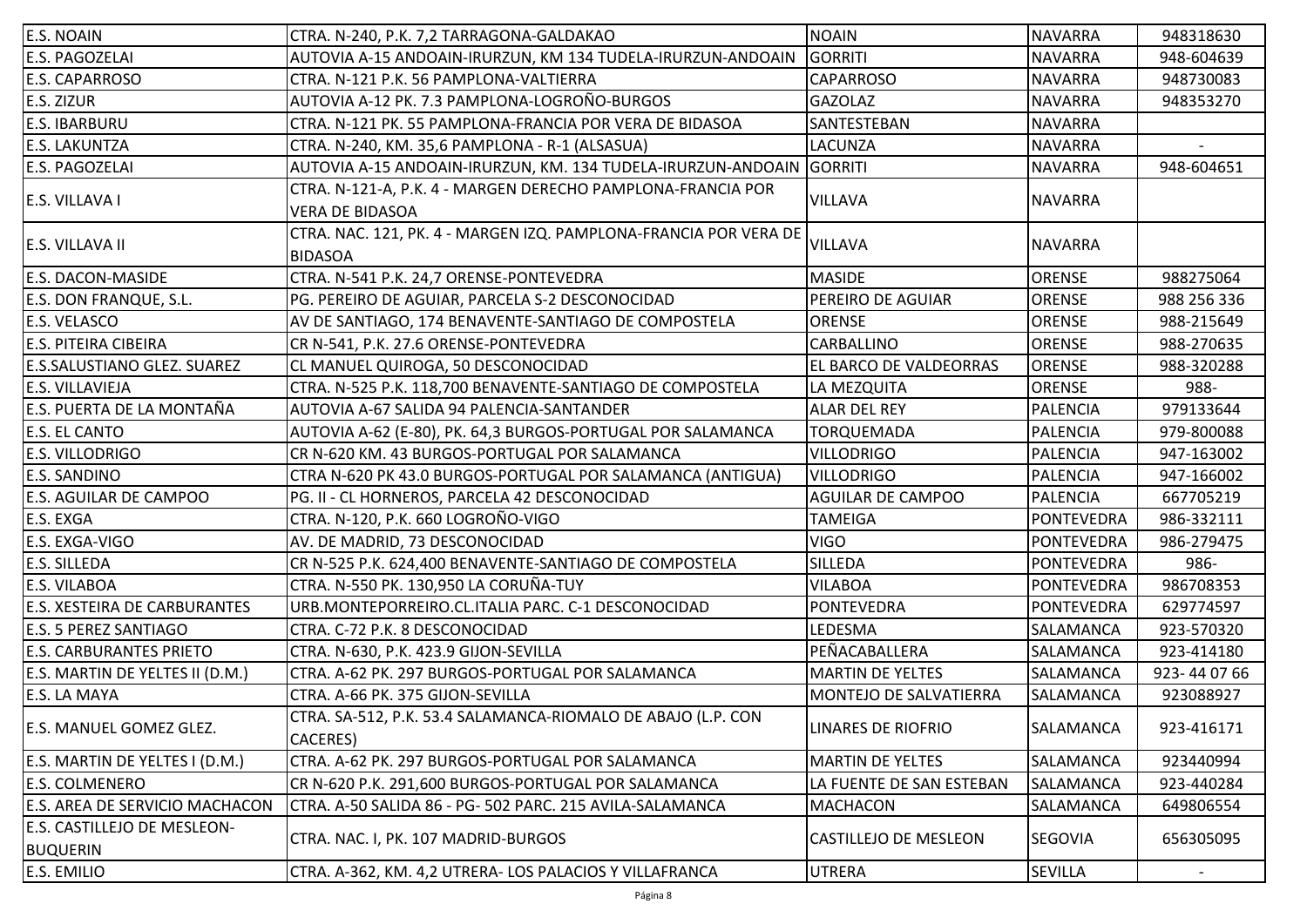| AUTOVIA A-15 ANDOAIN-IRURZUN, KM 134 TUDELA-IRURZUN-ANDOAIN<br><b>GORRITI</b><br><b>NAVARRA</b><br>948-604639<br><b>CAPARROSO</b><br>CTRA. N-121 P.K. 56 PAMPLONA-VALTIERRA<br><b>NAVARRA</b><br>948730083<br>AUTOVIA A-12 PK. 7.3 PAMPLONA-LOGROÑO-BURGOS<br><b>GAZOLAZ</b><br>948353270<br><b>NAVARRA</b><br>SANTESTEBAN<br><b>NAVARRA</b><br>CTRA. N-121 PK. 55 PAMPLONA-FRANCIA POR VERA DE BIDASOA<br>LACUNZA<br><b>NAVARRA</b><br>CTRA. N-240, KM. 35,6 PAMPLONA - R-1 (ALSASUA)<br>AUTOVIA A-15 ANDOAIN-IRURZUN, KM. 134 TUDELA-IRURZUN-ANDOAIN GORRITI<br>948-604651<br><b>NAVARRA</b><br>CTRA. N-121-A, P.K. 4 - MARGEN DERECHO PAMPLONA-FRANCIA POR<br><b>VILLAVA</b><br><b>NAVARRA</b><br>E.S. VILLAVA I<br><b>VERA DE BIDASOA</b><br>CTRA. NAC. 121, PK. 4 - MARGEN IZQ. PAMPLONA-FRANCIA POR VERA DE<br><b>VILLAVA</b><br><b>NAVARRA</b><br>E.S. VILLAVA II<br><b>BIDASOA</b><br><b>MASIDE</b><br><b>ORENSE</b><br>988275064<br>CTRA. N-541 P.K. 24,7 ORENSE-PONTEVEDRA<br>PEREIRO DE AGUIAR<br>PG. PEREIRO DE AGUIAR, PARCELA S-2 DESCONOCIDAD<br><b>ORENSE</b><br>988 256 336<br><b>ORENSE</b><br><b>ORENSE</b><br>AV DE SANTIAGO, 174 BENAVENTE-SANTIAGO DE COMPOSTELA<br>988-215649<br><b>CARBALLINO</b><br><b>ORENSE</b><br>988-270635<br>CR N-541, P.K. 27.6 ORENSE-PONTEVEDRA<br>CL MANUEL QUIROGA, 50 DESCONOCIDAD<br>EL BARCO DE VALDEORRAS<br><b>ORENSE</b><br>988-320288<br>988-<br>CTRA. N-525 P.K. 118,700 BENAVENTE-SANTIAGO DE COMPOSTELA<br>LA MEZQUITA<br><b>ORENSE</b><br>979133644<br>AUTOVIA A-67 SALIDA 94 PALENCIA-SANTANDER<br><b>ALAR DEL REY</b><br><b>PALENCIA</b><br>TORQUEMADA<br>979-800088<br>AUTOVIA A-62 (E-80), PK. 64,3 BURGOS-PORTUGAL POR SALAMANCA<br>PALENCIA<br>CR N-620 KM. 43 BURGOS-PORTUGAL POR SALAMANCA<br><b>VILLODRIGO</b><br><b>PALENCIA</b><br>947-163002<br><b>VILLODRIGO</b><br>CTRA N-620 PK 43.0 BURGOS-PORTUGAL POR SALAMANCA (ANTIGUA)<br><b>PALENCIA</b><br>947-166002<br>PG. II - CL HORNEROS, PARCELA 42 DESCONOCIDAD<br><b>AGUILAR DE CAMPOO</b><br><b>PALENCIA</b><br>667705219<br>CTRA. N-120, P.K. 660 LOGROÑO-VIGO<br><b>TAMEIGA</b><br>986-332111<br><b>PONTEVEDRA</b><br><b>VIGO</b><br>PONTEVEDRA<br>AV. DE MADRID, 73 DESCONOCIDAD<br>986-279475<br><b>SILLEDA</b><br>CR N-525 P.K. 624,400 BENAVENTE-SANTIAGO DE COMPOSTELA<br><b>PONTEVEDRA</b><br>986-<br>CTRA. N-550 PK. 130,950 LA CORUÑA-TUY<br>VILABOA<br>986708353<br>PONTEVEDRA<br><b>PONTEVEDRA</b><br>URB.MONTEPORREIRO.CL.ITALIA PARC. C-1 DESCONOCIDAD<br><b>PONTEVEDRA</b><br>629774597<br>LEDESMA<br>SALAMANCA<br>923-570320<br>CTRA. C-72 P.K. 8 DESCONOCIDAD<br>PEÑACABALLERA<br>SALAMANCA<br>923-414180<br>CTRA. N-630, P.K. 423.9 GIJON-SEVILLA<br>CTRA. A-62 PK. 297 BURGOS-PORTUGAL POR SALAMANCA<br><b>MARTIN DE YELTES</b><br>SALAMANCA<br>923-440766<br>CTRA. A-66 PK. 375 GIJON-SEVILLA<br>MONTEJO DE SALVATIERRA<br>SALAMANCA<br>923088927<br> CTRA. SA-512, P.K. 53.4 SALAMANCA-RIOMALO DE ABAJO (L.P. CON<br><b>LINARES DE RIOFRIO</b><br>SALAMANCA<br>923-416171<br>CACERES)<br>E.S. MARTIN DE YELTES I (D.M.)<br><b>MARTIN DE YELTES</b><br>SALAMANCA<br>923440994<br>CTRA. A-62 PK. 297 BURGOS-PORTUGAL POR SALAMANCA<br>CR N-620 P.K. 291,600 BURGOS-PORTUGAL POR SALAMANCA<br>LA FUENTE DE SAN ESTEBAN<br>SALAMANCA<br>923-440284<br>CTRA. A-50 SALIDA 86 - PG- 502 PARC. 215 AVILA-SALAMANCA<br><b>MACHACON</b><br>SALAMANCA<br>649806554<br>CTRA. NAC. I, PK. 107 MADRID-BURGOS<br><b>CASTILLEJO DE MESLEON</b><br><b>SEGOVIA</b><br>656305095<br><b>BUQUERIN</b><br>UTRERA<br><b>SEVILLA</b><br>CTRA. A-362, KM. 4,2 UTRERA- LOS PALACIOS Y VILLAFRANCA | E.S. NOAIN                          | CTRA. N-240, P.K. 7,2 TARRAGONA-GALDAKAO | <b>NOAIN</b> | <b>NAVARRA</b> | 948318630 |
|-----------------------------------------------------------------------------------------------------------------------------------------------------------------------------------------------------------------------------------------------------------------------------------------------------------------------------------------------------------------------------------------------------------------------------------------------------------------------------------------------------------------------------------------------------------------------------------------------------------------------------------------------------------------------------------------------------------------------------------------------------------------------------------------------------------------------------------------------------------------------------------------------------------------------------------------------------------------------------------------------------------------------------------------------------------------------------------------------------------------------------------------------------------------------------------------------------------------------------------------------------------------------------------------------------------------------------------------------------------------------------------------------------------------------------------------------------------------------------------------------------------------------------------------------------------------------------------------------------------------------------------------------------------------------------------------------------------------------------------------------------------------------------------------------------------------------------------------------------------------------------------------------------------------------------------------------------------------------------------------------------------------------------------------------------------------------------------------------------------------------------------------------------------------------------------------------------------------------------------------------------------------------------------------------------------------------------------------------------------------------------------------------------------------------------------------------------------------------------------------------------------------------------------------------------------------------------------------------------------------------------------------------------------------------------------------------------------------------------------------------------------------------------------------------------------------------------------------------------------------------------------------------------------------------------------------------------------------------------------------------------------------------------------------------------------------------------------------------------------------------------------------------------------------------------------------------------------------------------------------------------------------------------------------------------------------------------------------------------------------------------------------------------------------------------------------------------------------------------------------------------------------------------------------------------------------------------------------------------------------------------|-------------------------------------|------------------------------------------|--------------|----------------|-----------|
|                                                                                                                                                                                                                                                                                                                                                                                                                                                                                                                                                                                                                                                                                                                                                                                                                                                                                                                                                                                                                                                                                                                                                                                                                                                                                                                                                                                                                                                                                                                                                                                                                                                                                                                                                                                                                                                                                                                                                                                                                                                                                                                                                                                                                                                                                                                                                                                                                                                                                                                                                                                                                                                                                                                                                                                                                                                                                                                                                                                                                                                                                                                                                                                                                                                                                                                                                                                                                                                                                                                                                                                                                             | <b>E.S. PAGOZELAI</b>               |                                          |              |                |           |
|                                                                                                                                                                                                                                                                                                                                                                                                                                                                                                                                                                                                                                                                                                                                                                                                                                                                                                                                                                                                                                                                                                                                                                                                                                                                                                                                                                                                                                                                                                                                                                                                                                                                                                                                                                                                                                                                                                                                                                                                                                                                                                                                                                                                                                                                                                                                                                                                                                                                                                                                                                                                                                                                                                                                                                                                                                                                                                                                                                                                                                                                                                                                                                                                                                                                                                                                                                                                                                                                                                                                                                                                                             | E.S. CAPARROSO                      |                                          |              |                |           |
|                                                                                                                                                                                                                                                                                                                                                                                                                                                                                                                                                                                                                                                                                                                                                                                                                                                                                                                                                                                                                                                                                                                                                                                                                                                                                                                                                                                                                                                                                                                                                                                                                                                                                                                                                                                                                                                                                                                                                                                                                                                                                                                                                                                                                                                                                                                                                                                                                                                                                                                                                                                                                                                                                                                                                                                                                                                                                                                                                                                                                                                                                                                                                                                                                                                                                                                                                                                                                                                                                                                                                                                                                             | E.S. ZIZUR                          |                                          |              |                |           |
|                                                                                                                                                                                                                                                                                                                                                                                                                                                                                                                                                                                                                                                                                                                                                                                                                                                                                                                                                                                                                                                                                                                                                                                                                                                                                                                                                                                                                                                                                                                                                                                                                                                                                                                                                                                                                                                                                                                                                                                                                                                                                                                                                                                                                                                                                                                                                                                                                                                                                                                                                                                                                                                                                                                                                                                                                                                                                                                                                                                                                                                                                                                                                                                                                                                                                                                                                                                                                                                                                                                                                                                                                             | <b>E.S. IBARBURU</b>                |                                          |              |                |           |
|                                                                                                                                                                                                                                                                                                                                                                                                                                                                                                                                                                                                                                                                                                                                                                                                                                                                                                                                                                                                                                                                                                                                                                                                                                                                                                                                                                                                                                                                                                                                                                                                                                                                                                                                                                                                                                                                                                                                                                                                                                                                                                                                                                                                                                                                                                                                                                                                                                                                                                                                                                                                                                                                                                                                                                                                                                                                                                                                                                                                                                                                                                                                                                                                                                                                                                                                                                                                                                                                                                                                                                                                                             | <b>E.S. LAKUNTZA</b>                |                                          |              |                |           |
|                                                                                                                                                                                                                                                                                                                                                                                                                                                                                                                                                                                                                                                                                                                                                                                                                                                                                                                                                                                                                                                                                                                                                                                                                                                                                                                                                                                                                                                                                                                                                                                                                                                                                                                                                                                                                                                                                                                                                                                                                                                                                                                                                                                                                                                                                                                                                                                                                                                                                                                                                                                                                                                                                                                                                                                                                                                                                                                                                                                                                                                                                                                                                                                                                                                                                                                                                                                                                                                                                                                                                                                                                             | E.S. PAGOZELAI                      |                                          |              |                |           |
|                                                                                                                                                                                                                                                                                                                                                                                                                                                                                                                                                                                                                                                                                                                                                                                                                                                                                                                                                                                                                                                                                                                                                                                                                                                                                                                                                                                                                                                                                                                                                                                                                                                                                                                                                                                                                                                                                                                                                                                                                                                                                                                                                                                                                                                                                                                                                                                                                                                                                                                                                                                                                                                                                                                                                                                                                                                                                                                                                                                                                                                                                                                                                                                                                                                                                                                                                                                                                                                                                                                                                                                                                             |                                     |                                          |              |                |           |
|                                                                                                                                                                                                                                                                                                                                                                                                                                                                                                                                                                                                                                                                                                                                                                                                                                                                                                                                                                                                                                                                                                                                                                                                                                                                                                                                                                                                                                                                                                                                                                                                                                                                                                                                                                                                                                                                                                                                                                                                                                                                                                                                                                                                                                                                                                                                                                                                                                                                                                                                                                                                                                                                                                                                                                                                                                                                                                                                                                                                                                                                                                                                                                                                                                                                                                                                                                                                                                                                                                                                                                                                                             |                                     |                                          |              |                |           |
|                                                                                                                                                                                                                                                                                                                                                                                                                                                                                                                                                                                                                                                                                                                                                                                                                                                                                                                                                                                                                                                                                                                                                                                                                                                                                                                                                                                                                                                                                                                                                                                                                                                                                                                                                                                                                                                                                                                                                                                                                                                                                                                                                                                                                                                                                                                                                                                                                                                                                                                                                                                                                                                                                                                                                                                                                                                                                                                                                                                                                                                                                                                                                                                                                                                                                                                                                                                                                                                                                                                                                                                                                             |                                     |                                          |              |                |           |
|                                                                                                                                                                                                                                                                                                                                                                                                                                                                                                                                                                                                                                                                                                                                                                                                                                                                                                                                                                                                                                                                                                                                                                                                                                                                                                                                                                                                                                                                                                                                                                                                                                                                                                                                                                                                                                                                                                                                                                                                                                                                                                                                                                                                                                                                                                                                                                                                                                                                                                                                                                                                                                                                                                                                                                                                                                                                                                                                                                                                                                                                                                                                                                                                                                                                                                                                                                                                                                                                                                                                                                                                                             |                                     |                                          |              |                |           |
|                                                                                                                                                                                                                                                                                                                                                                                                                                                                                                                                                                                                                                                                                                                                                                                                                                                                                                                                                                                                                                                                                                                                                                                                                                                                                                                                                                                                                                                                                                                                                                                                                                                                                                                                                                                                                                                                                                                                                                                                                                                                                                                                                                                                                                                                                                                                                                                                                                                                                                                                                                                                                                                                                                                                                                                                                                                                                                                                                                                                                                                                                                                                                                                                                                                                                                                                                                                                                                                                                                                                                                                                                             | E.S. DACON-MASIDE                   |                                          |              |                |           |
|                                                                                                                                                                                                                                                                                                                                                                                                                                                                                                                                                                                                                                                                                                                                                                                                                                                                                                                                                                                                                                                                                                                                                                                                                                                                                                                                                                                                                                                                                                                                                                                                                                                                                                                                                                                                                                                                                                                                                                                                                                                                                                                                                                                                                                                                                                                                                                                                                                                                                                                                                                                                                                                                                                                                                                                                                                                                                                                                                                                                                                                                                                                                                                                                                                                                                                                                                                                                                                                                                                                                                                                                                             | E.S. DON FRANQUE, S.L.              |                                          |              |                |           |
|                                                                                                                                                                                                                                                                                                                                                                                                                                                                                                                                                                                                                                                                                                                                                                                                                                                                                                                                                                                                                                                                                                                                                                                                                                                                                                                                                                                                                                                                                                                                                                                                                                                                                                                                                                                                                                                                                                                                                                                                                                                                                                                                                                                                                                                                                                                                                                                                                                                                                                                                                                                                                                                                                                                                                                                                                                                                                                                                                                                                                                                                                                                                                                                                                                                                                                                                                                                                                                                                                                                                                                                                                             | E.S. VELASCO                        |                                          |              |                |           |
|                                                                                                                                                                                                                                                                                                                                                                                                                                                                                                                                                                                                                                                                                                                                                                                                                                                                                                                                                                                                                                                                                                                                                                                                                                                                                                                                                                                                                                                                                                                                                                                                                                                                                                                                                                                                                                                                                                                                                                                                                                                                                                                                                                                                                                                                                                                                                                                                                                                                                                                                                                                                                                                                                                                                                                                                                                                                                                                                                                                                                                                                                                                                                                                                                                                                                                                                                                                                                                                                                                                                                                                                                             | <b>E.S. PITEIRA CIBEIRA</b>         |                                          |              |                |           |
|                                                                                                                                                                                                                                                                                                                                                                                                                                                                                                                                                                                                                                                                                                                                                                                                                                                                                                                                                                                                                                                                                                                                                                                                                                                                                                                                                                                                                                                                                                                                                                                                                                                                                                                                                                                                                                                                                                                                                                                                                                                                                                                                                                                                                                                                                                                                                                                                                                                                                                                                                                                                                                                                                                                                                                                                                                                                                                                                                                                                                                                                                                                                                                                                                                                                                                                                                                                                                                                                                                                                                                                                                             | <b>E.S.SALUSTIANO GLEZ. SUAREZ</b>  |                                          |              |                |           |
|                                                                                                                                                                                                                                                                                                                                                                                                                                                                                                                                                                                                                                                                                                                                                                                                                                                                                                                                                                                                                                                                                                                                                                                                                                                                                                                                                                                                                                                                                                                                                                                                                                                                                                                                                                                                                                                                                                                                                                                                                                                                                                                                                                                                                                                                                                                                                                                                                                                                                                                                                                                                                                                                                                                                                                                                                                                                                                                                                                                                                                                                                                                                                                                                                                                                                                                                                                                                                                                                                                                                                                                                                             | <b>E.S. VILLAVIEJA</b>              |                                          |              |                |           |
|                                                                                                                                                                                                                                                                                                                                                                                                                                                                                                                                                                                                                                                                                                                                                                                                                                                                                                                                                                                                                                                                                                                                                                                                                                                                                                                                                                                                                                                                                                                                                                                                                                                                                                                                                                                                                                                                                                                                                                                                                                                                                                                                                                                                                                                                                                                                                                                                                                                                                                                                                                                                                                                                                                                                                                                                                                                                                                                                                                                                                                                                                                                                                                                                                                                                                                                                                                                                                                                                                                                                                                                                                             | E.S. PUERTA DE LA MONTAÑA           |                                          |              |                |           |
|                                                                                                                                                                                                                                                                                                                                                                                                                                                                                                                                                                                                                                                                                                                                                                                                                                                                                                                                                                                                                                                                                                                                                                                                                                                                                                                                                                                                                                                                                                                                                                                                                                                                                                                                                                                                                                                                                                                                                                                                                                                                                                                                                                                                                                                                                                                                                                                                                                                                                                                                                                                                                                                                                                                                                                                                                                                                                                                                                                                                                                                                                                                                                                                                                                                                                                                                                                                                                                                                                                                                                                                                                             | <b>E.S. EL CANTO</b>                |                                          |              |                |           |
|                                                                                                                                                                                                                                                                                                                                                                                                                                                                                                                                                                                                                                                                                                                                                                                                                                                                                                                                                                                                                                                                                                                                                                                                                                                                                                                                                                                                                                                                                                                                                                                                                                                                                                                                                                                                                                                                                                                                                                                                                                                                                                                                                                                                                                                                                                                                                                                                                                                                                                                                                                                                                                                                                                                                                                                                                                                                                                                                                                                                                                                                                                                                                                                                                                                                                                                                                                                                                                                                                                                                                                                                                             | E.S. VILLODRIGO                     |                                          |              |                |           |
|                                                                                                                                                                                                                                                                                                                                                                                                                                                                                                                                                                                                                                                                                                                                                                                                                                                                                                                                                                                                                                                                                                                                                                                                                                                                                                                                                                                                                                                                                                                                                                                                                                                                                                                                                                                                                                                                                                                                                                                                                                                                                                                                                                                                                                                                                                                                                                                                                                                                                                                                                                                                                                                                                                                                                                                                                                                                                                                                                                                                                                                                                                                                                                                                                                                                                                                                                                                                                                                                                                                                                                                                                             | <b>E.S. SANDINO</b>                 |                                          |              |                |           |
|                                                                                                                                                                                                                                                                                                                                                                                                                                                                                                                                                                                                                                                                                                                                                                                                                                                                                                                                                                                                                                                                                                                                                                                                                                                                                                                                                                                                                                                                                                                                                                                                                                                                                                                                                                                                                                                                                                                                                                                                                                                                                                                                                                                                                                                                                                                                                                                                                                                                                                                                                                                                                                                                                                                                                                                                                                                                                                                                                                                                                                                                                                                                                                                                                                                                                                                                                                                                                                                                                                                                                                                                                             | E.S. AGUILAR DE CAMPOO              |                                          |              |                |           |
|                                                                                                                                                                                                                                                                                                                                                                                                                                                                                                                                                                                                                                                                                                                                                                                                                                                                                                                                                                                                                                                                                                                                                                                                                                                                                                                                                                                                                                                                                                                                                                                                                                                                                                                                                                                                                                                                                                                                                                                                                                                                                                                                                                                                                                                                                                                                                                                                                                                                                                                                                                                                                                                                                                                                                                                                                                                                                                                                                                                                                                                                                                                                                                                                                                                                                                                                                                                                                                                                                                                                                                                                                             | E.S. EXGA                           |                                          |              |                |           |
|                                                                                                                                                                                                                                                                                                                                                                                                                                                                                                                                                                                                                                                                                                                                                                                                                                                                                                                                                                                                                                                                                                                                                                                                                                                                                                                                                                                                                                                                                                                                                                                                                                                                                                                                                                                                                                                                                                                                                                                                                                                                                                                                                                                                                                                                                                                                                                                                                                                                                                                                                                                                                                                                                                                                                                                                                                                                                                                                                                                                                                                                                                                                                                                                                                                                                                                                                                                                                                                                                                                                                                                                                             | E.S. EXGA-VIGO                      |                                          |              |                |           |
|                                                                                                                                                                                                                                                                                                                                                                                                                                                                                                                                                                                                                                                                                                                                                                                                                                                                                                                                                                                                                                                                                                                                                                                                                                                                                                                                                                                                                                                                                                                                                                                                                                                                                                                                                                                                                                                                                                                                                                                                                                                                                                                                                                                                                                                                                                                                                                                                                                                                                                                                                                                                                                                                                                                                                                                                                                                                                                                                                                                                                                                                                                                                                                                                                                                                                                                                                                                                                                                                                                                                                                                                                             | <b>E.S. SILLEDA</b>                 |                                          |              |                |           |
|                                                                                                                                                                                                                                                                                                                                                                                                                                                                                                                                                                                                                                                                                                                                                                                                                                                                                                                                                                                                                                                                                                                                                                                                                                                                                                                                                                                                                                                                                                                                                                                                                                                                                                                                                                                                                                                                                                                                                                                                                                                                                                                                                                                                                                                                                                                                                                                                                                                                                                                                                                                                                                                                                                                                                                                                                                                                                                                                                                                                                                                                                                                                                                                                                                                                                                                                                                                                                                                                                                                                                                                                                             | E.S. VILABOA                        |                                          |              |                |           |
|                                                                                                                                                                                                                                                                                                                                                                                                                                                                                                                                                                                                                                                                                                                                                                                                                                                                                                                                                                                                                                                                                                                                                                                                                                                                                                                                                                                                                                                                                                                                                                                                                                                                                                                                                                                                                                                                                                                                                                                                                                                                                                                                                                                                                                                                                                                                                                                                                                                                                                                                                                                                                                                                                                                                                                                                                                                                                                                                                                                                                                                                                                                                                                                                                                                                                                                                                                                                                                                                                                                                                                                                                             | <b>E.S. XESTEIRA DE CARBURANTES</b> |                                          |              |                |           |
|                                                                                                                                                                                                                                                                                                                                                                                                                                                                                                                                                                                                                                                                                                                                                                                                                                                                                                                                                                                                                                                                                                                                                                                                                                                                                                                                                                                                                                                                                                                                                                                                                                                                                                                                                                                                                                                                                                                                                                                                                                                                                                                                                                                                                                                                                                                                                                                                                                                                                                                                                                                                                                                                                                                                                                                                                                                                                                                                                                                                                                                                                                                                                                                                                                                                                                                                                                                                                                                                                                                                                                                                                             | <b>E.S. 5 PEREZ SANTIAGO</b>        |                                          |              |                |           |
|                                                                                                                                                                                                                                                                                                                                                                                                                                                                                                                                                                                                                                                                                                                                                                                                                                                                                                                                                                                                                                                                                                                                                                                                                                                                                                                                                                                                                                                                                                                                                                                                                                                                                                                                                                                                                                                                                                                                                                                                                                                                                                                                                                                                                                                                                                                                                                                                                                                                                                                                                                                                                                                                                                                                                                                                                                                                                                                                                                                                                                                                                                                                                                                                                                                                                                                                                                                                                                                                                                                                                                                                                             | <b>E.S. CARBURANTES PRIETO</b>      |                                          |              |                |           |
|                                                                                                                                                                                                                                                                                                                                                                                                                                                                                                                                                                                                                                                                                                                                                                                                                                                                                                                                                                                                                                                                                                                                                                                                                                                                                                                                                                                                                                                                                                                                                                                                                                                                                                                                                                                                                                                                                                                                                                                                                                                                                                                                                                                                                                                                                                                                                                                                                                                                                                                                                                                                                                                                                                                                                                                                                                                                                                                                                                                                                                                                                                                                                                                                                                                                                                                                                                                                                                                                                                                                                                                                                             | E.S. MARTIN DE YELTES II (D.M.)     |                                          |              |                |           |
|                                                                                                                                                                                                                                                                                                                                                                                                                                                                                                                                                                                                                                                                                                                                                                                                                                                                                                                                                                                                                                                                                                                                                                                                                                                                                                                                                                                                                                                                                                                                                                                                                                                                                                                                                                                                                                                                                                                                                                                                                                                                                                                                                                                                                                                                                                                                                                                                                                                                                                                                                                                                                                                                                                                                                                                                                                                                                                                                                                                                                                                                                                                                                                                                                                                                                                                                                                                                                                                                                                                                                                                                                             | E.S. LA MAYA                        |                                          |              |                |           |
|                                                                                                                                                                                                                                                                                                                                                                                                                                                                                                                                                                                                                                                                                                                                                                                                                                                                                                                                                                                                                                                                                                                                                                                                                                                                                                                                                                                                                                                                                                                                                                                                                                                                                                                                                                                                                                                                                                                                                                                                                                                                                                                                                                                                                                                                                                                                                                                                                                                                                                                                                                                                                                                                                                                                                                                                                                                                                                                                                                                                                                                                                                                                                                                                                                                                                                                                                                                                                                                                                                                                                                                                                             | E.S. MANUEL GOMEZ GLEZ.             |                                          |              |                |           |
|                                                                                                                                                                                                                                                                                                                                                                                                                                                                                                                                                                                                                                                                                                                                                                                                                                                                                                                                                                                                                                                                                                                                                                                                                                                                                                                                                                                                                                                                                                                                                                                                                                                                                                                                                                                                                                                                                                                                                                                                                                                                                                                                                                                                                                                                                                                                                                                                                                                                                                                                                                                                                                                                                                                                                                                                                                                                                                                                                                                                                                                                                                                                                                                                                                                                                                                                                                                                                                                                                                                                                                                                                             |                                     |                                          |              |                |           |
|                                                                                                                                                                                                                                                                                                                                                                                                                                                                                                                                                                                                                                                                                                                                                                                                                                                                                                                                                                                                                                                                                                                                                                                                                                                                                                                                                                                                                                                                                                                                                                                                                                                                                                                                                                                                                                                                                                                                                                                                                                                                                                                                                                                                                                                                                                                                                                                                                                                                                                                                                                                                                                                                                                                                                                                                                                                                                                                                                                                                                                                                                                                                                                                                                                                                                                                                                                                                                                                                                                                                                                                                                             | <b>E.S. COLMENERO</b>               |                                          |              |                |           |
|                                                                                                                                                                                                                                                                                                                                                                                                                                                                                                                                                                                                                                                                                                                                                                                                                                                                                                                                                                                                                                                                                                                                                                                                                                                                                                                                                                                                                                                                                                                                                                                                                                                                                                                                                                                                                                                                                                                                                                                                                                                                                                                                                                                                                                                                                                                                                                                                                                                                                                                                                                                                                                                                                                                                                                                                                                                                                                                                                                                                                                                                                                                                                                                                                                                                                                                                                                                                                                                                                                                                                                                                                             | E.S. AREA DE SERVICIO MACHACON      |                                          |              |                |           |
|                                                                                                                                                                                                                                                                                                                                                                                                                                                                                                                                                                                                                                                                                                                                                                                                                                                                                                                                                                                                                                                                                                                                                                                                                                                                                                                                                                                                                                                                                                                                                                                                                                                                                                                                                                                                                                                                                                                                                                                                                                                                                                                                                                                                                                                                                                                                                                                                                                                                                                                                                                                                                                                                                                                                                                                                                                                                                                                                                                                                                                                                                                                                                                                                                                                                                                                                                                                                                                                                                                                                                                                                                             | E.S. CASTILLEJO DE MESLEON-         |                                          |              |                |           |
|                                                                                                                                                                                                                                                                                                                                                                                                                                                                                                                                                                                                                                                                                                                                                                                                                                                                                                                                                                                                                                                                                                                                                                                                                                                                                                                                                                                                                                                                                                                                                                                                                                                                                                                                                                                                                                                                                                                                                                                                                                                                                                                                                                                                                                                                                                                                                                                                                                                                                                                                                                                                                                                                                                                                                                                                                                                                                                                                                                                                                                                                                                                                                                                                                                                                                                                                                                                                                                                                                                                                                                                                                             |                                     |                                          |              |                |           |
|                                                                                                                                                                                                                                                                                                                                                                                                                                                                                                                                                                                                                                                                                                                                                                                                                                                                                                                                                                                                                                                                                                                                                                                                                                                                                                                                                                                                                                                                                                                                                                                                                                                                                                                                                                                                                                                                                                                                                                                                                                                                                                                                                                                                                                                                                                                                                                                                                                                                                                                                                                                                                                                                                                                                                                                                                                                                                                                                                                                                                                                                                                                                                                                                                                                                                                                                                                                                                                                                                                                                                                                                                             | E.S. EMILIO                         |                                          |              |                |           |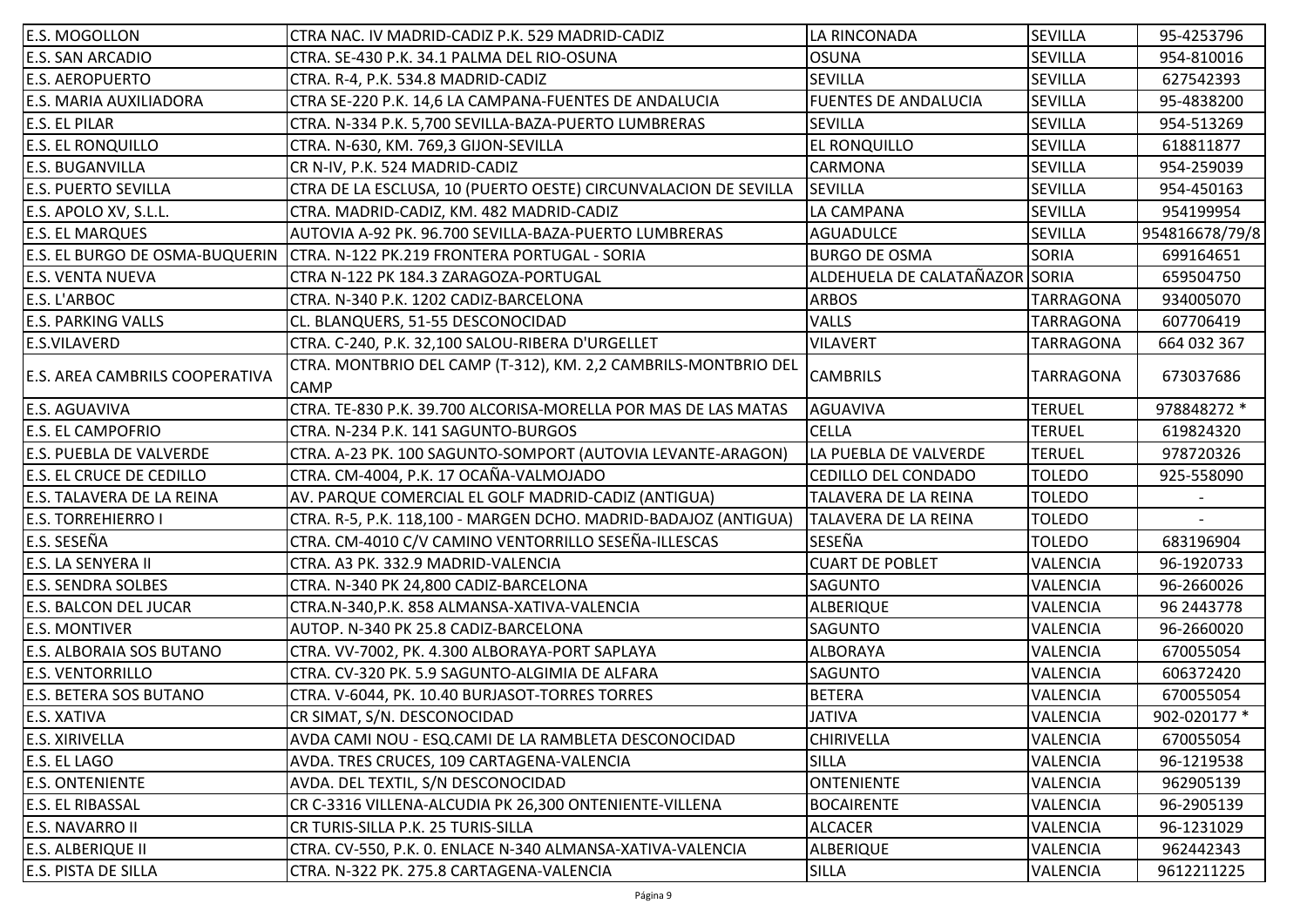| <b>E.S. MOGOLLON</b>                  | CTRA NAC. IV MADRID-CADIZ P.K. 529 MADRID-CADIZ                               | LA RINCONADA                   | <b>SEVILLA</b>   | 95-4253796     |
|---------------------------------------|-------------------------------------------------------------------------------|--------------------------------|------------------|----------------|
| <b>E.S. SAN ARCADIO</b>               | CTRA. SE-430 P.K. 34.1 PALMA DEL RIO-OSUNA                                    | <b>OSUNA</b>                   | SEVILLA          | 954-810016     |
| <b>E.S. AEROPUERTO</b>                | CTRA. R-4, P.K. 534.8 MADRID-CADIZ                                            | <b>SEVILLA</b>                 | <b>SEVILLA</b>   | 627542393      |
| E.S. MARIA AUXILIADORA                | CTRA SE-220 P.K. 14,6 LA CAMPANA-FUENTES DE ANDALUCIA                         | <b>FUENTES DE ANDALUCIA</b>    | <b>SEVILLA</b>   | 95-4838200     |
| <b>E.S. EL PILAR</b>                  | CTRA. N-334 P.K. 5,700 SEVILLA-BAZA-PUERTO LUMBRERAS                          | <b>SEVILLA</b>                 | SEVILLA          | 954-513269     |
| <b>E.S. EL RONQUILLO</b>              | CTRA. N-630, KM. 769,3 GIJON-SEVILLA                                          | <b>EL RONQUILLO</b>            | SEVILLA          | 618811877      |
| <b>E.S. BUGANVILLA</b>                | CR N-IV, P.K. 524 MADRID-CADIZ                                                | <b>CARMONA</b>                 | <b>SEVILLA</b>   | 954-259039     |
| <b>E.S. PUERTO SEVILLA</b>            | CTRA DE LA ESCLUSA, 10 (PUERTO OESTE) CIRCUNVALACION DE SEVILLA               | <b>SEVILLA</b>                 | <b>SEVILLA</b>   | 954-450163     |
| E.S. APOLO XV, S.L.L.                 | CTRA. MADRID-CADIZ, KM. 482 MADRID-CADIZ                                      | LA CAMPANA                     | SEVILLA          | 954199954      |
| <b>E.S. EL MARQUES</b>                | AUTOVIA A-92 PK. 96.700 SEVILLA-BAZA-PUERTO LUMBRERAS                         | <b>AGUADULCE</b>               | <b>SEVILLA</b>   | 954816678/79/8 |
| E.S. EL BURGO DE OSMA-BUQUERIN        | CTRA. N-122 PK.219 FRONTERA PORTUGAL - SORIA                                  | <b>BURGO DE OSMA</b>           | <b>SORIA</b>     | 699164651      |
| <b>E.S. VENTA NUEVA</b>               | CTRA N-122 PK 184.3 ZARAGOZA-PORTUGAL                                         | ALDEHUELA DE CALATAÑAZOR SORIA |                  | 659504750      |
| E.S. L'ARBOC                          | CTRA. N-340 P.K. 1202 CADIZ-BARCELONA                                         | <b>ARBOS</b>                   | <b>TARRAGONA</b> | 934005070      |
| <b>E.S. PARKING VALLS</b>             | CL. BLANQUERS, 51-55 DESCONOCIDAD                                             | <b>VALLS</b>                   | TARRAGONA        | 607706419      |
| <b>E.S.VILAVERD</b>                   | CTRA. C-240, P.K. 32,100 SALOU-RIBERA D'URGELLET                              | <b>VILAVERT</b>                | TARRAGONA        | 664 032 367    |
| <b>E.S. AREA CAMBRILS COOPERATIVA</b> | CTRA. MONTBRIO DEL CAMP (T-312), KM. 2,2 CAMBRILS-MONTBRIO DEL<br><b>CAMP</b> | <b>CAMBRILS</b>                | <b>TARRAGONA</b> | 673037686      |
| <b>E.S. AGUAVIVA</b>                  | CTRA. TE-830 P.K. 39.700 ALCORISA-MORELLA POR MAS DE LAS MATAS                | AGUAVIVA                       | <b>TERUEL</b>    | 978848272 *    |
| <b>E.S. EL CAMPOFRIO</b>              | CTRA. N-234 P.K. 141 SAGUNTO-BURGOS                                           | <b>CELLA</b>                   | <b>TERUEL</b>    | 619824320      |
| E.S. PUEBLA DE VALVERDE               | CTRA. A-23 PK. 100 SAGUNTO-SOMPORT (AUTOVIA LEVANTE-ARAGON)                   | LA PUEBLA DE VALVERDE          | <b>TERUEL</b>    | 978720326      |
| <b>E.S. EL CRUCE DE CEDILLO</b>       | CTRA. CM-4004, P.K. 17 OCAÑA-VALMOJADO                                        | <b>CEDILLO DEL CONDADO</b>     | <b>TOLEDO</b>    | 925-558090     |
| E.S. TALAVERA DE LA REINA             | AV. PARQUE COMERCIAL EL GOLF MADRID-CADIZ (ANTIGUA)                           | TALAVERA DE LA REINA           | <b>TOLEDO</b>    |                |
| <b>E.S. TORREHIERRO I</b>             | CTRA. R-5, P.K. 118,100 - MARGEN DCHO. MADRID-BADAJOZ (ANTIGUA)               | TALAVERA DE LA REINA           | <b>TOLEDO</b>    |                |
| E.S. SESEÑA                           | CTRA. CM-4010 C/V CAMINO VENTORRILLO SESEÑA-ILLESCAS                          | SESEÑA                         | <b>TOLEDO</b>    | 683196904      |
| E.S. LA SENYERA II                    | CTRA. A3 PK. 332.9 MADRID-VALENCIA                                            | <b>CUART DE POBLET</b>         | <b>VALENCIA</b>  | 96-1920733     |
| <b>E.S. SENDRA SOLBES</b>             | CTRA. N-340 PK 24,800 CADIZ-BARCELONA                                         | <b>SAGUNTO</b>                 | VALENCIA         | 96-2660026     |
| <b>E.S. BALCON DEL JUCAR</b>          | CTRA.N-340, P.K. 858 ALMANSA-XATIVA-VALENCIA                                  | <b>ALBERIQUE</b>               | VALENCIA         | 96 2443778     |
| <b>E.S. MONTIVER</b>                  | AUTOP. N-340 PK 25.8 CADIZ-BARCELONA                                          | <b>SAGUNTO</b>                 | VALENCIA         | 96-2660020     |
| <b>E.S. ALBORAIA SOS BUTANO</b>       | CTRA. VV-7002, PK. 4.300 ALBORAYA-PORT SAPLAYA                                | <b>ALBORAYA</b>                | VALENCIA         | 670055054      |
| <b>E.S. VENTORRILLO</b>               | CTRA. CV-320 PK. 5.9 SAGUNTO-ALGIMIA DE ALFARA                                | <b>SAGUNTO</b>                 | VALENCIA         | 606372420      |
| <b>E.S. BETERA SOS BUTANO</b>         | CTRA. V-6044, PK. 10.40 BURJASOT-TORRES TORRES                                | <b>BETERA</b>                  | <b>VALENCIA</b>  | 670055054      |
| <b>E.S. XATIVA</b>                    | CR SIMAT, S/N. DESCONOCIDAD                                                   | <b>JATIVA</b>                  | VALENCIA         | 902-020177 *   |
| <b>E.S. XIRIVELLA</b>                 | AVDA CAMI NOU - ESQ.CAMI DE LA RAMBLETA DESCONOCIDAD                          | <b>CHIRIVELLA</b>              | VALENCIA         | 670055054      |
| <b>E.S. EL LAGO</b>                   | AVDA. TRES CRUCES, 109 CARTAGENA-VALENCIA                                     | <b>SILLA</b>                   | VALENCIA         | 96-1219538     |
| <b>E.S. ONTENIENTE</b>                | AVDA. DEL TEXTIL, S/N DESCONOCIDAD                                            | <b>ONTENIENTE</b>              | VALENCIA         | 962905139      |
| <b>E.S. EL RIBASSAL</b>               | CR C-3316 VILLENA-ALCUDIA PK 26,300 ONTENIENTE-VILLENA                        | <b>BOCAIRENTE</b>              | VALENCIA         | 96-2905139     |
| <b>E.S. NAVARRO II</b>                | CR TURIS-SILLA P.K. 25 TURIS-SILLA                                            | <b>ALCACER</b>                 | VALENCIA         | 96-1231029     |
| <b>E.S. ALBERIQUE II</b>              | CTRA. CV-550, P.K. 0. ENLACE N-340 ALMANSA-XATIVA-VALENCIA                    | <b>ALBERIQUE</b>               | <b>VALENCIA</b>  | 962442343      |
| <b>E.S. PISTA DE SILLA</b>            | CTRA. N-322 PK. 275.8 CARTAGENA-VALENCIA                                      | <b>SILLA</b>                   | VALENCIA         | 9612211225     |